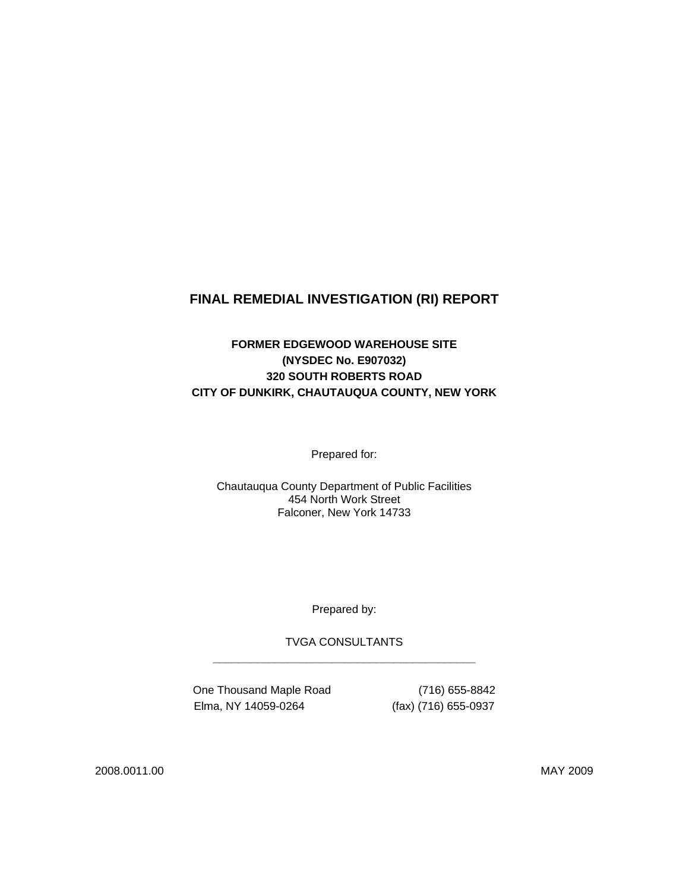# **FINAL REMEDIAL INVESTIGATION (RI) REPORT**

## **FORMER EDGEWOOD WAREHOUSE SITE (NYSDEC No. E907032) 320 SOUTH ROBERTS ROAD CITY OF DUNKIRK, CHAUTAUQUA COUNTY, NEW YORK**

Prepared for:

Chautauqua County Department of Public Facilities 454 North Work Street Falconer, New York 14733

Prepared by:

TVGA CONSULTANTS **\_\_\_\_\_\_\_\_\_\_\_\_\_\_\_\_\_\_\_\_\_\_\_\_\_\_\_\_\_\_\_\_\_\_\_\_\_\_\_\_\_\_** 

One Thousand Maple Road (716) 655-8842 Elma, NY 14059-0264 (fax) (716) 655-0937

2008.0011.00 MAY 2009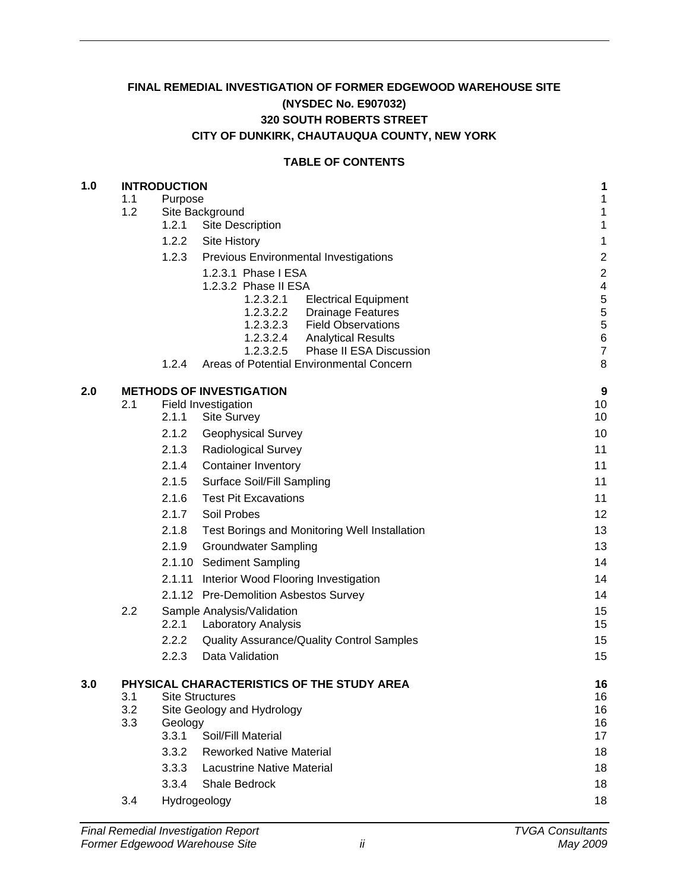## **FINAL REMEDIAL INVESTIGATION OF FORMER EDGEWOOD WAREHOUSE SITE (NYSDEC No. E907032) 320 SOUTH ROBERTS STREET CITY OF DUNKIRK, CHAUTAUQUA COUNTY, NEW YORK**

#### **TABLE OF CONTENTS**

| 1.0 | <b>INTRODUCTION</b> | 1                                          |                                                                                  |                         |  |  |
|-----|---------------------|--------------------------------------------|----------------------------------------------------------------------------------|-------------------------|--|--|
|     | 1.1                 | $\mathbf 1$<br>$\mathbf 1$                 |                                                                                  |                         |  |  |
|     | 1.2                 |                                            | Site Background                                                                  |                         |  |  |
|     |                     | 1.2.1                                      | Site Description                                                                 | $\mathbf 1$             |  |  |
|     |                     | 1.2.2                                      | Site History                                                                     | $\mathbf 1$             |  |  |
|     |                     | 1.2.3                                      | Previous Environmental Investigations                                            | $\overline{\mathbf{c}}$ |  |  |
|     |                     |                                            | 1.2.3.1 Phase I ESA                                                              | $\overline{c}$          |  |  |
|     |                     |                                            | 1.2.3.2 Phase II ESA<br>1.2.3.2.1<br><b>Electrical Equipment</b>                 | 4<br>5                  |  |  |
|     |                     |                                            | 1.2.3.2.2<br><b>Drainage Features</b>                                            | 5                       |  |  |
|     |                     |                                            | 1.2.3.2.3<br><b>Field Observations</b>                                           | 5                       |  |  |
|     |                     |                                            | 1.2.3.2.4<br><b>Analytical Results</b>                                           | 6                       |  |  |
|     |                     | 1.2.4                                      | Phase II ESA Discussion<br>1.2.3.2.5<br>Areas of Potential Environmental Concern | $\overline{7}$<br>8     |  |  |
|     |                     |                                            |                                                                                  |                         |  |  |
| 2.0 |                     |                                            | <b>METHODS OF INVESTIGATION</b>                                                  | 9                       |  |  |
|     | 2.1                 | 2.1.1                                      | Field Investigation<br><b>Site Survey</b>                                        | 10<br>10                |  |  |
|     |                     | 2.1.2                                      | <b>Geophysical Survey</b>                                                        | 10                      |  |  |
|     |                     | 2.1.3                                      | <b>Radiological Survey</b>                                                       | 11                      |  |  |
|     |                     | 2.1.4                                      | <b>Container Inventory</b>                                                       | 11                      |  |  |
|     |                     | 2.1.5                                      | <b>Surface Soil/Fill Sampling</b>                                                | 11                      |  |  |
|     |                     | 2.1.6                                      | <b>Test Pit Excavations</b>                                                      | 11                      |  |  |
|     |                     | 2.1.7                                      | Soil Probes                                                                      | 12                      |  |  |
|     |                     | 2.1.8                                      | Test Borings and Monitoring Well Installation                                    | 13                      |  |  |
|     |                     | 2.1.9                                      | <b>Groundwater Sampling</b>                                                      | 13                      |  |  |
|     |                     |                                            | 2.1.10 Sediment Sampling                                                         | 14                      |  |  |
|     |                     |                                            | 2.1.11 Interior Wood Flooring Investigation                                      | 14                      |  |  |
|     |                     |                                            | 2.1.12 Pre-Demolition Asbestos Survey                                            | 14                      |  |  |
|     | 2.2                 | Sample Analysis/Validation                 | 15                                                                               |                         |  |  |
|     |                     | 2.2.1                                      | Laboratory Analysis                                                              | 15                      |  |  |
|     |                     | 2.2.2                                      | Quality Assurance/Quality Control Samples                                        | 15                      |  |  |
|     |                     | 2.2.3                                      | Data Validation                                                                  | 15                      |  |  |
| 3.0 |                     | PHYSICAL CHARACTERISTICS OF THE STUDY AREA |                                                                                  |                         |  |  |
|     | 3.1                 |                                            | <b>Site Structures</b>                                                           | 16                      |  |  |
|     | 3.2                 |                                            | Site Geology and Hydrology                                                       | 16                      |  |  |
|     | 3.3                 | Geology<br>3.3.1                           | Soil/Fill Material                                                               | 16<br>17                |  |  |
|     |                     | 3.3.2                                      | <b>Reworked Native Material</b>                                                  | 18                      |  |  |
|     |                     | 3.3.3                                      | <b>Lacustrine Native Material</b>                                                | 18                      |  |  |
|     |                     | 3.3.4                                      | Shale Bedrock                                                                    | 18                      |  |  |
|     | 3.4                 |                                            | Hydrogeology                                                                     | 18                      |  |  |
|     |                     |                                            |                                                                                  |                         |  |  |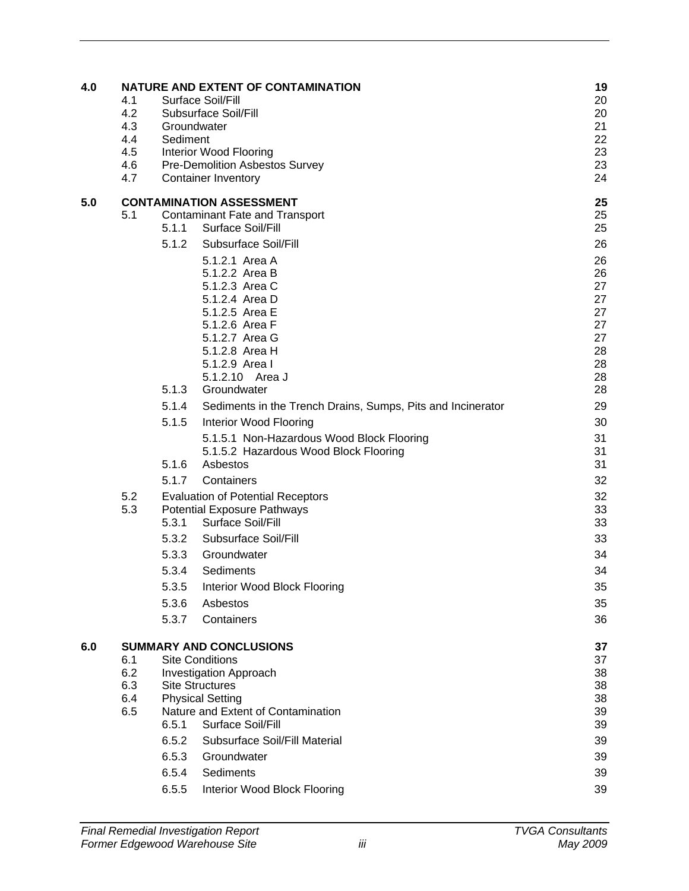| 4.0 | 4.1<br>4.2<br>4.3<br>4.4<br>4.5<br>4.6<br>4.7 | Groundwater<br>Sediment                                     | NATURE AND EXTENT OF CONTAMINATION<br>Surface Soil/Fill<br>Subsurface Soil/Fill<br>Interior Wood Flooring<br><b>Pre-Demolition Asbestos Survey</b><br><b>Container Inventory</b>                                                                                                                       | 19<br>20<br>20<br>21<br>22<br>23<br>23<br>24                         |
|-----|-----------------------------------------------|-------------------------------------------------------------|--------------------------------------------------------------------------------------------------------------------------------------------------------------------------------------------------------------------------------------------------------------------------------------------------------|----------------------------------------------------------------------|
| 5.0 | 5.1                                           | 5.1.1<br>5.1.2                                              | <b>CONTAMINATION ASSESSMENT</b><br><b>Contaminant Fate and Transport</b><br>Surface Soil/Fill<br>Subsurface Soil/Fill<br>5.1.2.1 Area A<br>5.1.2.2 Area B<br>5.1.2.3 Area C<br>5.1.2.4 Area D<br>5.1.2.5 Area E<br>5.1.2.6 Area F<br>5.1.2.7 Area G<br>5.1.2.8 Area H                                  | 25<br>25<br>25<br>26<br>26<br>26<br>27<br>27<br>27<br>27<br>27<br>28 |
|     |                                               | 5.1.3<br>5.1.4<br>5.1.5<br>5.1.6<br>5.1.7                   | 5.1.2.9 Area I<br>5.1.2.10 Area J<br>Groundwater<br>Sediments in the Trench Drains, Sumps, Pits and Incinerator<br>Interior Wood Flooring<br>5.1.5.1 Non-Hazardous Wood Block Flooring<br>5.1.5.2 Hazardous Wood Block Flooring<br>Asbestos<br>Containers                                              | 28<br>28<br>28<br>29<br>30<br>31<br>31<br>31<br>32                   |
|     | 5.2<br>5.3                                    | 5.3.1<br>5.3.2<br>5.3.3<br>5.3.4<br>5.3.5<br>5.3.6<br>5.3.7 | <b>Evaluation of Potential Receptors</b><br><b>Potential Exposure Pathways</b><br>Surface Soil/Fill<br>Subsurface Soil/Fill<br>Groundwater<br>Sediments<br>Interior Wood Block Flooring<br>Asbestos<br>Containers                                                                                      | 32<br>33<br>33<br>33<br>34<br>34<br>35<br>35<br>36                   |
| 6.0 | 6.1<br>6.2<br>6.3<br>6.4<br>6.5               | 6.5.1<br>6.5.2<br>6.5.3<br>6.5.4<br>6.5.5                   | <b>SUMMARY AND CONCLUSIONS</b><br><b>Site Conditions</b><br><b>Investigation Approach</b><br><b>Site Structures</b><br><b>Physical Setting</b><br>Nature and Extent of Contamination<br>Surface Soil/Fill<br>Subsurface Soil/Fill Material<br>Groundwater<br>Sediments<br>Interior Wood Block Flooring | 37<br>37<br>38<br>38<br>38<br>39<br>39<br>39<br>39<br>39<br>39       |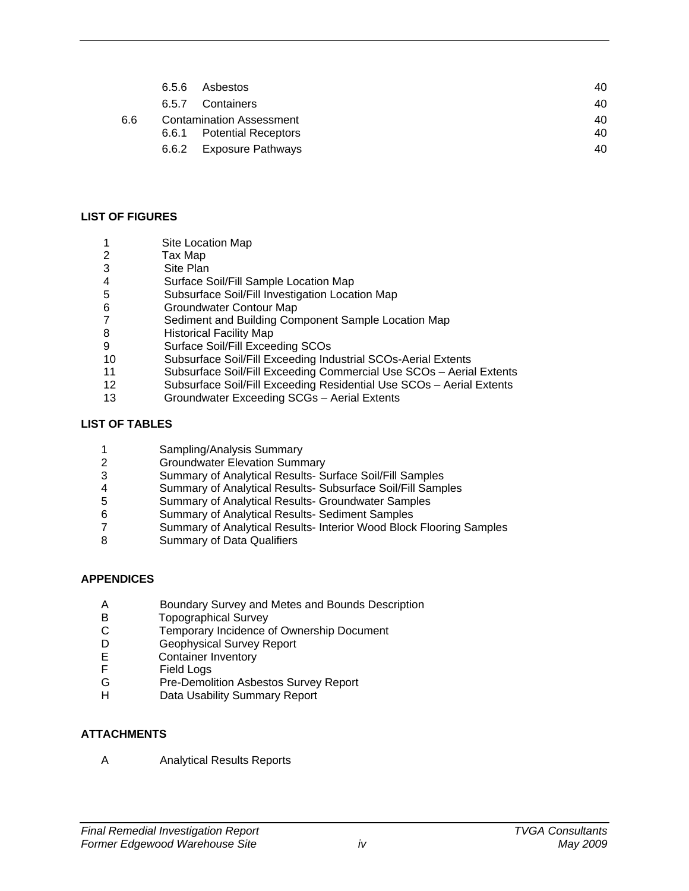| 6.6 | 6.5.6                           | Asbestos                  | 40 |  |
|-----|---------------------------------|---------------------------|----|--|
|     |                                 | 6.5.7 Containers          | 40 |  |
|     | <b>Contamination Assessment</b> |                           |    |  |
|     |                                 | 6.6.1 Potential Receptors | 40 |  |
|     | 6.6.2                           | Exposure Pathways         | 40 |  |

#### **LIST OF FIGURES**

- 1 Site Location Map
- 2 Tax Map
- 3 Site Plan<br>4 Surface S
- Surface Soil/Fill Sample Location Map
- 5 Subsurface Soil/Fill Investigation Location Map
- 6 Groundwater Contour Map
- 7 Sediment and Building Component Sample Location Map
- 8 Historical Facility Map
- 9 Surface Soil/Fill Exceeding SCOs
- 10 Subsurface Soil/Fill Exceeding Industrial SCOs-Aerial Extents
- 11 Subsurface Soil/Fill Exceeding Commercial Use SCOs Aerial Extents
- Subsurface Soil/Fill Exceeding Residential Use SCOs Aerial Extents
- 13 Groundwater Exceeding SCGs Aerial Extents

### **LIST OF TABLES**

- 1 Sampling/Analysis Summary<br>2 Groundwater Elevation Sumn
- **Groundwater Elevation Summary**
- 3 Summary of Analytical Results- Surface Soil/Fill Samples
- 4 Summary of Analytical Results- Subsurface Soil/Fill Samples
- 5 Summary of Analytical Results- Groundwater Samples
- 6 Summary of Analytical Results- Sediment Samples
- 7 Summary of Analytical Results- Interior Wood Block Flooring Samples
- 8 Summary of Data Qualifiers

### **APPENDICES**

- A Boundary Survey and Metes and Bounds Description
- B Topographical Survey<br>C Temporary Incidence o
- C Temporary Incidence of Ownership Document<br>D Geophysical Survey Report
- D Geophysical Survey Report<br>E Container Inventory
- E Container Inventory<br>F Field Logs
- F Field Logs<br>G Pre-Demoli
- Pre-Demolition Asbestos Survey Report
- H Data Usability Summary Report

### **ATTACHMENTS**

A Analytical Results Reports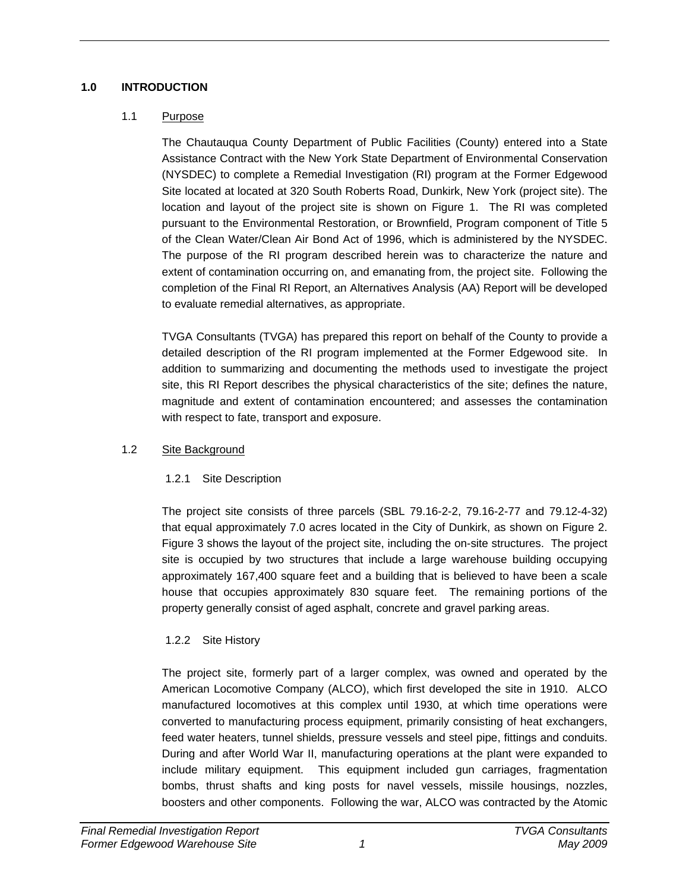## **1.0 INTRODUCTION**

## 1.1 Purpose

The Chautauqua County Department of Public Facilities (County) entered into a State Assistance Contract with the New York State Department of Environmental Conservation (NYSDEC) to complete a Remedial Investigation (RI) program at the Former Edgewood Site located at located at 320 South Roberts Road, Dunkirk, New York (project site). The location and layout of the project site is shown on Figure 1. The RI was completed pursuant to the Environmental Restoration, or Brownfield, Program component of Title 5 of the Clean Water/Clean Air Bond Act of 1996, which is administered by the NYSDEC. The purpose of the RI program described herein was to characterize the nature and extent of contamination occurring on, and emanating from, the project site. Following the completion of the Final RI Report, an Alternatives Analysis (AA) Report will be developed to evaluate remedial alternatives, as appropriate.

TVGA Consultants (TVGA) has prepared this report on behalf of the County to provide a detailed description of the RI program implemented at the Former Edgewood site. In addition to summarizing and documenting the methods used to investigate the project site, this RI Report describes the physical characteristics of the site; defines the nature, magnitude and extent of contamination encountered; and assesses the contamination with respect to fate, transport and exposure.

## 1.2 Site Background

## 1.2.1 Site Description

The project site consists of three parcels (SBL 79.16-2-2, 79.16-2-77 and 79.12-4-32) that equal approximately 7.0 acres located in the City of Dunkirk, as shown on Figure 2. Figure 3 shows the layout of the project site, including the on-site structures. The project site is occupied by two structures that include a large warehouse building occupying approximately 167,400 square feet and a building that is believed to have been a scale house that occupies approximately 830 square feet. The remaining portions of the property generally consist of aged asphalt, concrete and gravel parking areas.

# 1.2.2 Site History

The project site, formerly part of a larger complex, was owned and operated by the American Locomotive Company (ALCO), which first developed the site in 1910. ALCO manufactured locomotives at this complex until 1930, at which time operations were converted to manufacturing process equipment, primarily consisting of heat exchangers, feed water heaters, tunnel shields, pressure vessels and steel pipe, fittings and conduits. During and after World War II, manufacturing operations at the plant were expanded to include military equipment. This equipment included gun carriages, fragmentation bombs, thrust shafts and king posts for navel vessels, missile housings, nozzles, boosters and other components. Following the war, ALCO was contracted by the Atomic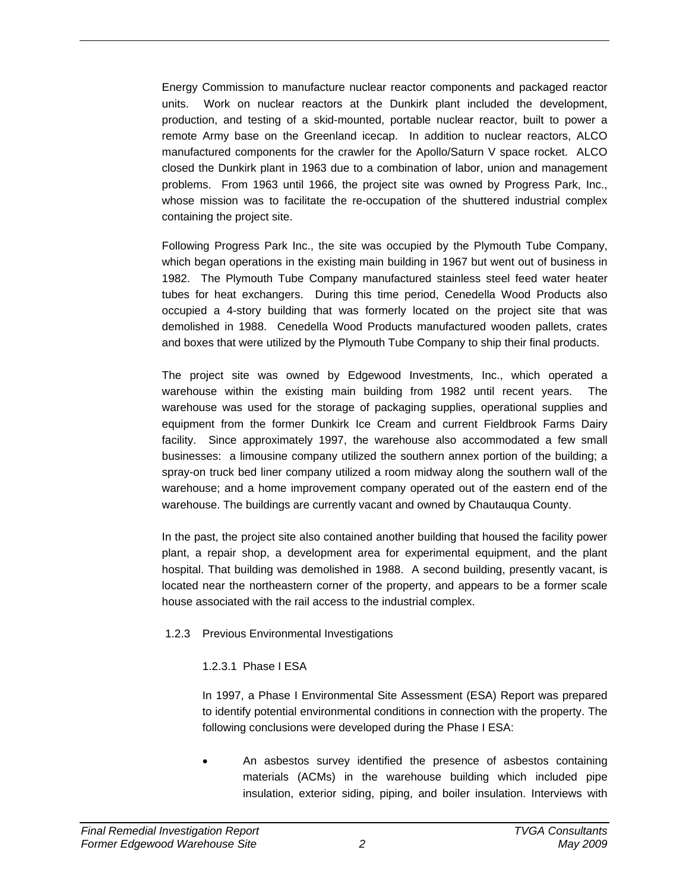Energy Commission to manufacture nuclear reactor components and packaged reactor units. Work on nuclear reactors at the Dunkirk plant included the development, production, and testing of a skid-mounted, portable nuclear reactor, built to power a remote Army base on the Greenland icecap. In addition to nuclear reactors, ALCO manufactured components for the crawler for the Apollo/Saturn V space rocket. ALCO closed the Dunkirk plant in 1963 due to a combination of labor, union and management problems. From 1963 until 1966, the project site was owned by Progress Park, Inc., whose mission was to facilitate the re-occupation of the shuttered industrial complex containing the project site.

Following Progress Park Inc., the site was occupied by the Plymouth Tube Company, which began operations in the existing main building in 1967 but went out of business in 1982. The Plymouth Tube Company manufactured stainless steel feed water heater tubes for heat exchangers. During this time period, Cenedella Wood Products also occupied a 4-story building that was formerly located on the project site that was demolished in 1988. Cenedella Wood Products manufactured wooden pallets, crates and boxes that were utilized by the Plymouth Tube Company to ship their final products.

The project site was owned by Edgewood Investments, Inc., which operated a warehouse within the existing main building from 1982 until recent years. The warehouse was used for the storage of packaging supplies, operational supplies and equipment from the former Dunkirk Ice Cream and current Fieldbrook Farms Dairy facility. Since approximately 1997, the warehouse also accommodated a few small businesses: a limousine company utilized the southern annex portion of the building; a spray-on truck bed liner company utilized a room midway along the southern wall of the warehouse; and a home improvement company operated out of the eastern end of the warehouse. The buildings are currently vacant and owned by Chautauqua County.

In the past, the project site also contained another building that housed the facility power plant, a repair shop, a development area for experimental equipment, and the plant hospital. That building was demolished in 1988. A second building, presently vacant, is located near the northeastern corner of the property, and appears to be a former scale house associated with the rail access to the industrial complex.

### 1.2.3 Previous Environmental Investigations

### 1.2.3.1 Phase I ESA

In 1997, a Phase I Environmental Site Assessment (ESA) Report was prepared to identify potential environmental conditions in connection with the property. The following conclusions were developed during the Phase I ESA:

An asbestos survey identified the presence of asbestos containing materials (ACMs) in the warehouse building which included pipe insulation, exterior siding, piping, and boiler insulation. Interviews with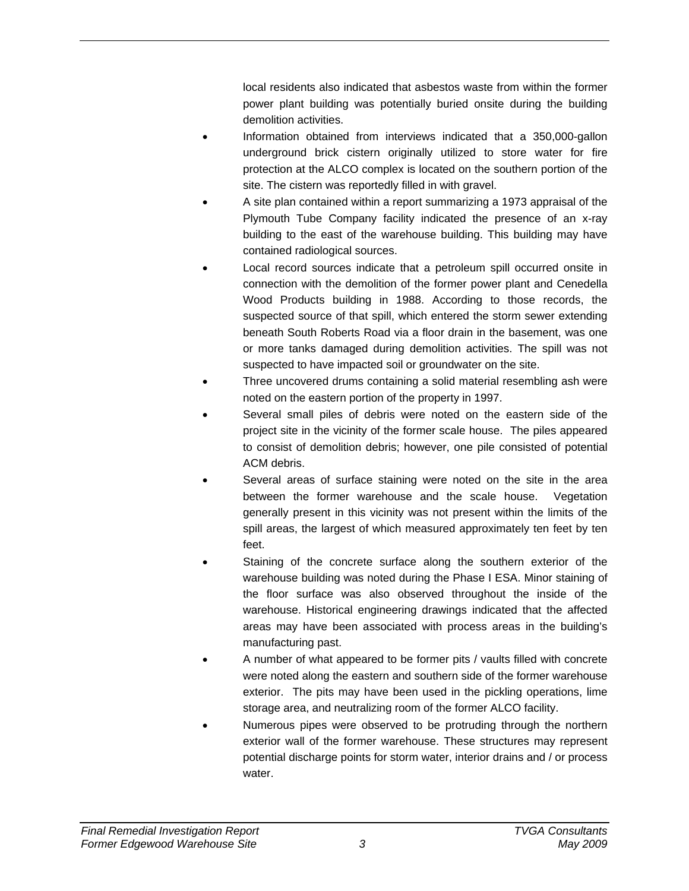local residents also indicated that asbestos waste from within the former power plant building was potentially buried onsite during the building demolition activities.

- Information obtained from interviews indicated that a 350,000-gallon underground brick cistern originally utilized to store water for fire protection at the ALCO complex is located on the southern portion of the site. The cistern was reportedly filled in with gravel.
- A site plan contained within a report summarizing a 1973 appraisal of the Plymouth Tube Company facility indicated the presence of an x-ray building to the east of the warehouse building. This building may have contained radiological sources.
- Local record sources indicate that a petroleum spill occurred onsite in connection with the demolition of the former power plant and Cenedella Wood Products building in 1988. According to those records, the suspected source of that spill, which entered the storm sewer extending beneath South Roberts Road via a floor drain in the basement, was one or more tanks damaged during demolition activities. The spill was not suspected to have impacted soil or groundwater on the site.
- Three uncovered drums containing a solid material resembling ash were noted on the eastern portion of the property in 1997.
- Several small piles of debris were noted on the eastern side of the project site in the vicinity of the former scale house. The piles appeared to consist of demolition debris; however, one pile consisted of potential ACM debris.
- Several areas of surface staining were noted on the site in the area between the former warehouse and the scale house. Vegetation generally present in this vicinity was not present within the limits of the spill areas, the largest of which measured approximately ten feet by ten feet.
- Staining of the concrete surface along the southern exterior of the warehouse building was noted during the Phase I ESA. Minor staining of the floor surface was also observed throughout the inside of the warehouse. Historical engineering drawings indicated that the affected areas may have been associated with process areas in the building's manufacturing past.
- A number of what appeared to be former pits / vaults filled with concrete were noted along the eastern and southern side of the former warehouse exterior. The pits may have been used in the pickling operations, lime storage area, and neutralizing room of the former ALCO facility.
- Numerous pipes were observed to be protruding through the northern exterior wall of the former warehouse. These structures may represent potential discharge points for storm water, interior drains and / or process water.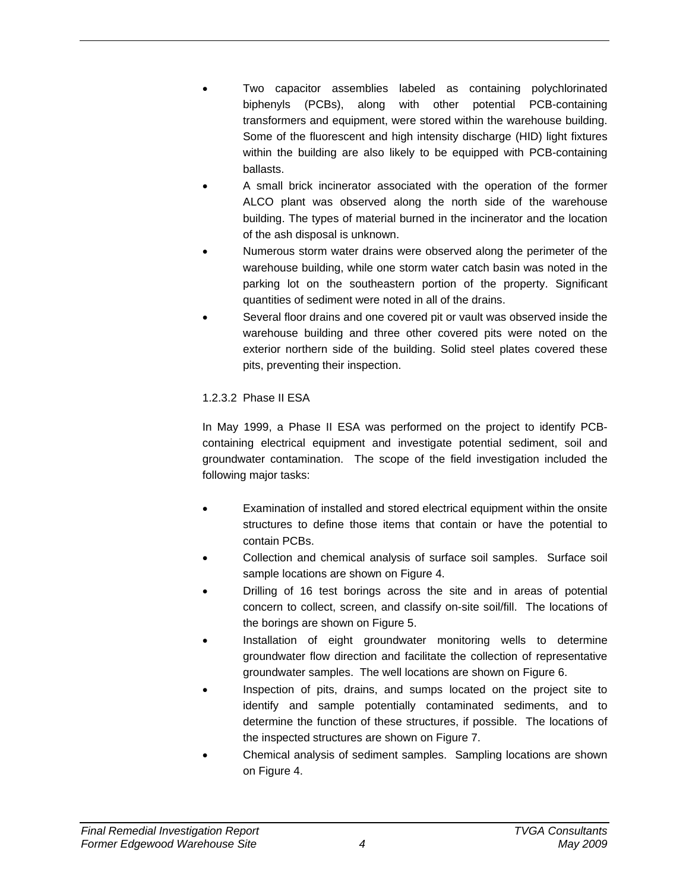- Two capacitor assemblies labeled as containing polychlorinated biphenyls (PCBs), along with other potential PCB-containing transformers and equipment, were stored within the warehouse building. Some of the fluorescent and high intensity discharge (HID) light fixtures within the building are also likely to be equipped with PCB-containing ballasts.
- A small brick incinerator associated with the operation of the former ALCO plant was observed along the north side of the warehouse building. The types of material burned in the incinerator and the location of the ash disposal is unknown.
- Numerous storm water drains were observed along the perimeter of the warehouse building, while one storm water catch basin was noted in the parking lot on the southeastern portion of the property. Significant quantities of sediment were noted in all of the drains.
- Several floor drains and one covered pit or vault was observed inside the warehouse building and three other covered pits were noted on the exterior northern side of the building. Solid steel plates covered these pits, preventing their inspection.

## 1.2.3.2 Phase II ESA

In May 1999, a Phase II ESA was performed on the project to identify PCBcontaining electrical equipment and investigate potential sediment, soil and groundwater contamination. The scope of the field investigation included the following major tasks:

- Examination of installed and stored electrical equipment within the onsite structures to define those items that contain or have the potential to contain PCBs.
- Collection and chemical analysis of surface soil samples. Surface soil sample locations are shown on Figure 4.
- Drilling of 16 test borings across the site and in areas of potential concern to collect, screen, and classify on-site soil/fill. The locations of the borings are shown on Figure 5.
- Installation of eight groundwater monitoring wells to determine groundwater flow direction and facilitate the collection of representative groundwater samples. The well locations are shown on Figure 6.
- Inspection of pits, drains, and sumps located on the project site to identify and sample potentially contaminated sediments, and to determine the function of these structures, if possible. The locations of the inspected structures are shown on Figure 7.
- Chemical analysis of sediment samples. Sampling locations are shown on Figure 4.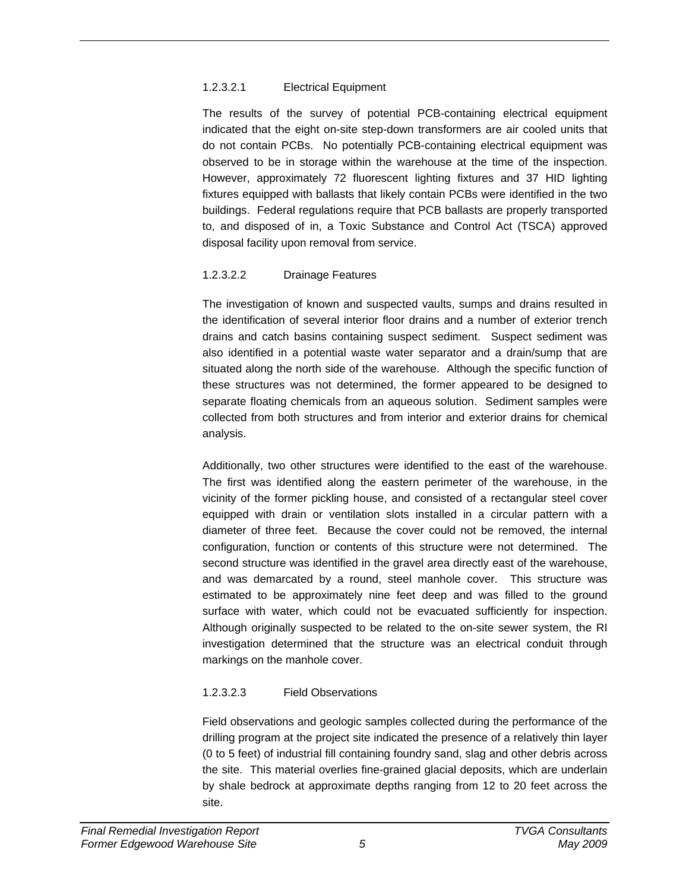### 1.2.3.2.1 Electrical Equipment

The results of the survey of potential PCB-containing electrical equipment indicated that the eight on-site step-down transformers are air cooled units that do not contain PCBs. No potentially PCB-containing electrical equipment was observed to be in storage within the warehouse at the time of the inspection. However, approximately 72 fluorescent lighting fixtures and 37 HID lighting fixtures equipped with ballasts that likely contain PCBs were identified in the two buildings. Federal regulations require that PCB ballasts are properly transported to, and disposed of in, a Toxic Substance and Control Act (TSCA) approved disposal facility upon removal from service.

## 1.2.3.2.2 Drainage Features

The investigation of known and suspected vaults, sumps and drains resulted in the identification of several interior floor drains and a number of exterior trench drains and catch basins containing suspect sediment. Suspect sediment was also identified in a potential waste water separator and a drain/sump that are situated along the north side of the warehouse. Although the specific function of these structures was not determined, the former appeared to be designed to separate floating chemicals from an aqueous solution. Sediment samples were collected from both structures and from interior and exterior drains for chemical analysis.

Additionally, two other structures were identified to the east of the warehouse. The first was identified along the eastern perimeter of the warehouse, in the vicinity of the former pickling house, and consisted of a rectangular steel cover equipped with drain or ventilation slots installed in a circular pattern with a diameter of three feet. Because the cover could not be removed, the internal configuration, function or contents of this structure were not determined. The second structure was identified in the gravel area directly east of the warehouse, and was demarcated by a round, steel manhole cover. This structure was estimated to be approximately nine feet deep and was filled to the ground surface with water, which could not be evacuated sufficiently for inspection. Although originally suspected to be related to the on-site sewer system, the RI investigation determined that the structure was an electrical conduit through markings on the manhole cover.

## 1.2.3.2.3 Field Observations

Field observations and geologic samples collected during the performance of the drilling program at the project site indicated the presence of a relatively thin layer (0 to 5 feet) of industrial fill containing foundry sand, slag and other debris across the site. This material overlies fine-grained glacial deposits, which are underlain by shale bedrock at approximate depths ranging from 12 to 20 feet across the site.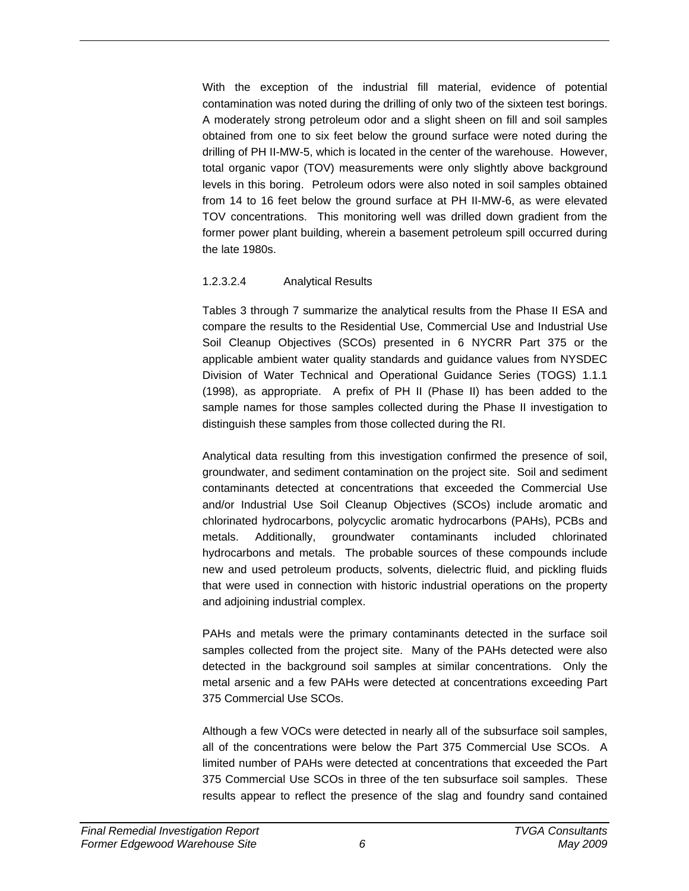With the exception of the industrial fill material, evidence of potential contamination was noted during the drilling of only two of the sixteen test borings. A moderately strong petroleum odor and a slight sheen on fill and soil samples obtained from one to six feet below the ground surface were noted during the drilling of PH II-MW-5, which is located in the center of the warehouse. However, total organic vapor (TOV) measurements were only slightly above background levels in this boring. Petroleum odors were also noted in soil samples obtained from 14 to 16 feet below the ground surface at PH II-MW-6, as were elevated TOV concentrations. This monitoring well was drilled down gradient from the former power plant building, wherein a basement petroleum spill occurred during the late 1980s.

### 1.2.3.2.4 Analytical Results

Tables 3 through 7 summarize the analytical results from the Phase II ESA and compare the results to the Residential Use, Commercial Use and Industrial Use Soil Cleanup Objectives (SCOs) presented in 6 NYCRR Part 375 or the applicable ambient water quality standards and guidance values from NYSDEC Division of Water Technical and Operational Guidance Series (TOGS) 1.1.1 (1998), as appropriate. A prefix of PH II (Phase II) has been added to the sample names for those samples collected during the Phase II investigation to distinguish these samples from those collected during the RI.

Analytical data resulting from this investigation confirmed the presence of soil, groundwater, and sediment contamination on the project site. Soil and sediment contaminants detected at concentrations that exceeded the Commercial Use and/or Industrial Use Soil Cleanup Objectives (SCOs) include aromatic and chlorinated hydrocarbons, polycyclic aromatic hydrocarbons (PAHs), PCBs and metals. Additionally, groundwater contaminants included chlorinated hydrocarbons and metals. The probable sources of these compounds include new and used petroleum products, solvents, dielectric fluid, and pickling fluids that were used in connection with historic industrial operations on the property and adjoining industrial complex.

PAHs and metals were the primary contaminants detected in the surface soil samples collected from the project site. Many of the PAHs detected were also detected in the background soil samples at similar concentrations. Only the metal arsenic and a few PAHs were detected at concentrations exceeding Part 375 Commercial Use SCOs.

Although a few VOCs were detected in nearly all of the subsurface soil samples, all of the concentrations were below the Part 375 Commercial Use SCOs. A limited number of PAHs were detected at concentrations that exceeded the Part 375 Commercial Use SCOs in three of the ten subsurface soil samples. These results appear to reflect the presence of the slag and foundry sand contained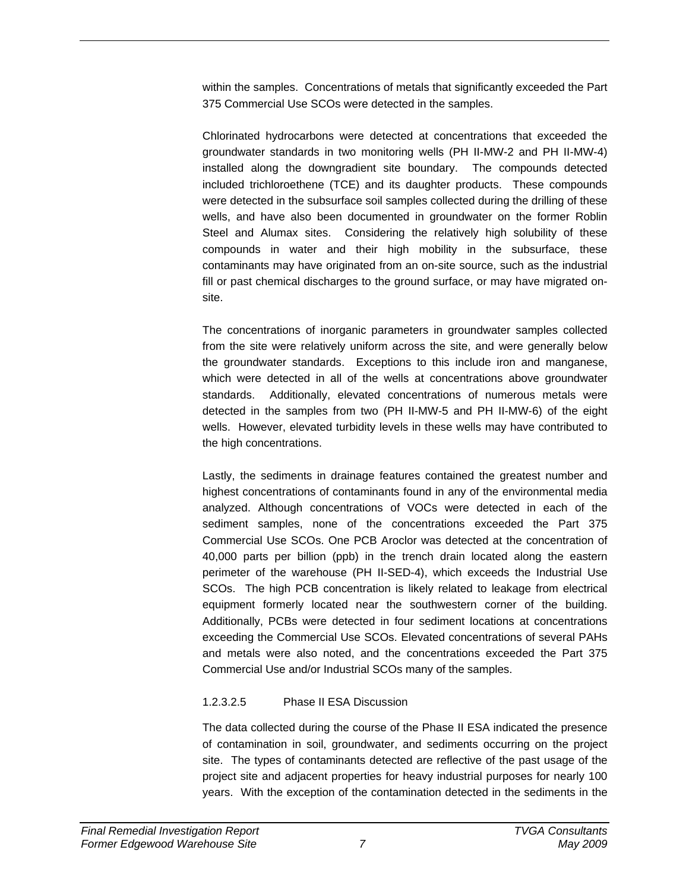within the samples. Concentrations of metals that significantly exceeded the Part 375 Commercial Use SCOs were detected in the samples.

Chlorinated hydrocarbons were detected at concentrations that exceeded the groundwater standards in two monitoring wells (PH II-MW-2 and PH II-MW-4) installed along the downgradient site boundary. The compounds detected included trichloroethene (TCE) and its daughter products. These compounds were detected in the subsurface soil samples collected during the drilling of these wells, and have also been documented in groundwater on the former Roblin Steel and Alumax sites. Considering the relatively high solubility of these compounds in water and their high mobility in the subsurface, these contaminants may have originated from an on-site source, such as the industrial fill or past chemical discharges to the ground surface, or may have migrated onsite.

The concentrations of inorganic parameters in groundwater samples collected from the site were relatively uniform across the site, and were generally below the groundwater standards. Exceptions to this include iron and manganese, which were detected in all of the wells at concentrations above groundwater standards. Additionally, elevated concentrations of numerous metals were detected in the samples from two (PH II-MW-5 and PH II-MW-6) of the eight wells. However, elevated turbidity levels in these wells may have contributed to the high concentrations.

Lastly, the sediments in drainage features contained the greatest number and highest concentrations of contaminants found in any of the environmental media analyzed. Although concentrations of VOCs were detected in each of the sediment samples, none of the concentrations exceeded the Part 375 Commercial Use SCOs. One PCB Aroclor was detected at the concentration of 40,000 parts per billion (ppb) in the trench drain located along the eastern perimeter of the warehouse (PH II-SED-4), which exceeds the Industrial Use SCOs. The high PCB concentration is likely related to leakage from electrical equipment formerly located near the southwestern corner of the building. Additionally, PCBs were detected in four sediment locations at concentrations exceeding the Commercial Use SCOs. Elevated concentrations of several PAHs and metals were also noted, and the concentrations exceeded the Part 375 Commercial Use and/or Industrial SCOs many of the samples.

## 1.2.3.2.5 Phase II ESA Discussion

The data collected during the course of the Phase II ESA indicated the presence of contamination in soil, groundwater, and sediments occurring on the project site. The types of contaminants detected are reflective of the past usage of the project site and adjacent properties for heavy industrial purposes for nearly 100 years. With the exception of the contamination detected in the sediments in the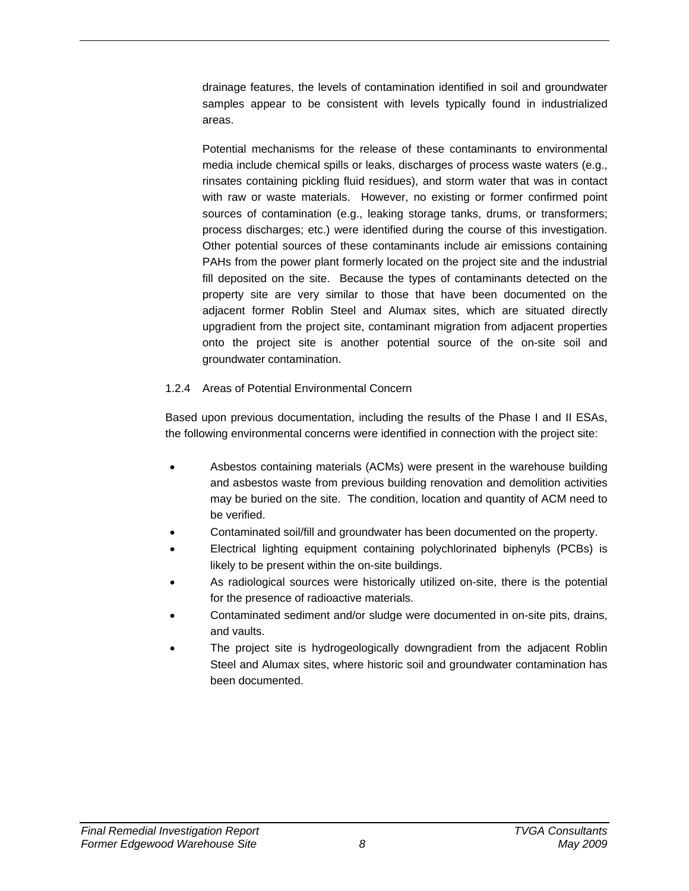drainage features, the levels of contamination identified in soil and groundwater samples appear to be consistent with levels typically found in industrialized areas.

Potential mechanisms for the release of these contaminants to environmental media include chemical spills or leaks, discharges of process waste waters (e.g., rinsates containing pickling fluid residues), and storm water that was in contact with raw or waste materials. However, no existing or former confirmed point sources of contamination (e.g., leaking storage tanks, drums, or transformers; process discharges; etc.) were identified during the course of this investigation. Other potential sources of these contaminants include air emissions containing PAHs from the power plant formerly located on the project site and the industrial fill deposited on the site. Because the types of contaminants detected on the property site are very similar to those that have been documented on the adjacent former Roblin Steel and Alumax sites, which are situated directly upgradient from the project site, contaminant migration from adjacent properties onto the project site is another potential source of the on-site soil and groundwater contamination.

### 1.2.4 Areas of Potential Environmental Concern

Based upon previous documentation, including the results of the Phase I and II ESAs, the following environmental concerns were identified in connection with the project site:

- Asbestos containing materials (ACMs) were present in the warehouse building and asbestos waste from previous building renovation and demolition activities may be buried on the site. The condition, location and quantity of ACM need to be verified.
- Contaminated soil/fill and groundwater has been documented on the property.
- Electrical lighting equipment containing polychlorinated biphenyls (PCBs) is likely to be present within the on-site buildings.
- As radiological sources were historically utilized on-site, there is the potential for the presence of radioactive materials.
- Contaminated sediment and/or sludge were documented in on-site pits, drains, and vaults.
- The project site is hydrogeologically downgradient from the adjacent Roblin Steel and Alumax sites, where historic soil and groundwater contamination has been documented.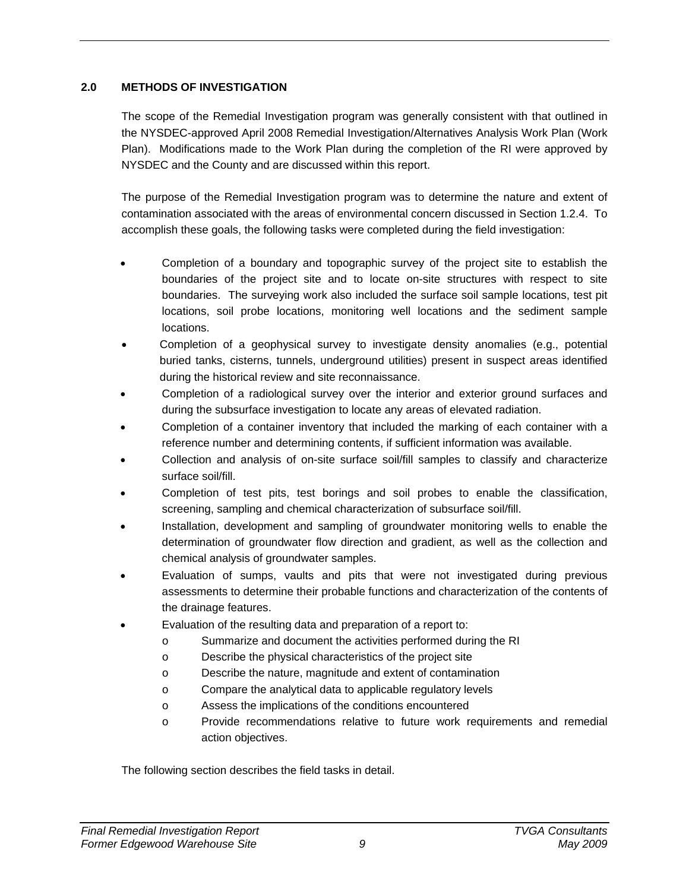## **2.0 METHODS OF INVESTIGATION**

The scope of the Remedial Investigation program was generally consistent with that outlined in the NYSDEC-approved April 2008 Remedial Investigation/Alternatives Analysis Work Plan (Work Plan). Modifications made to the Work Plan during the completion of the RI were approved by NYSDEC and the County and are discussed within this report.

The purpose of the Remedial Investigation program was to determine the nature and extent of contamination associated with the areas of environmental concern discussed in Section 1.2.4. To accomplish these goals, the following tasks were completed during the field investigation:

- Completion of a boundary and topographic survey of the project site to establish the boundaries of the project site and to locate on-site structures with respect to site boundaries. The surveying work also included the surface soil sample locations, test pit locations, soil probe locations, monitoring well locations and the sediment sample locations.
- Completion of a geophysical survey to investigate density anomalies (e.g., potential buried tanks, cisterns, tunnels, underground utilities) present in suspect areas identified during the historical review and site reconnaissance.
- Completion of a radiological survey over the interior and exterior ground surfaces and during the subsurface investigation to locate any areas of elevated radiation.
- Completion of a container inventory that included the marking of each container with a reference number and determining contents, if sufficient information was available.
- Collection and analysis of on-site surface soil/fill samples to classify and characterize surface soil/fill.
- Completion of test pits, test borings and soil probes to enable the classification, screening, sampling and chemical characterization of subsurface soil/fill.
- Installation, development and sampling of groundwater monitoring wells to enable the determination of groundwater flow direction and gradient, as well as the collection and chemical analysis of groundwater samples.
- Evaluation of sumps, vaults and pits that were not investigated during previous assessments to determine their probable functions and characterization of the contents of the drainage features.
- Evaluation of the resulting data and preparation of a report to:
	- o Summarize and document the activities performed during the RI
	- o Describe the physical characteristics of the project site
	- o Describe the nature, magnitude and extent of contamination
	- o Compare the analytical data to applicable regulatory levels
	- o Assess the implications of the conditions encountered
	- o Provide recommendations relative to future work requirements and remedial action objectives.

The following section describes the field tasks in detail.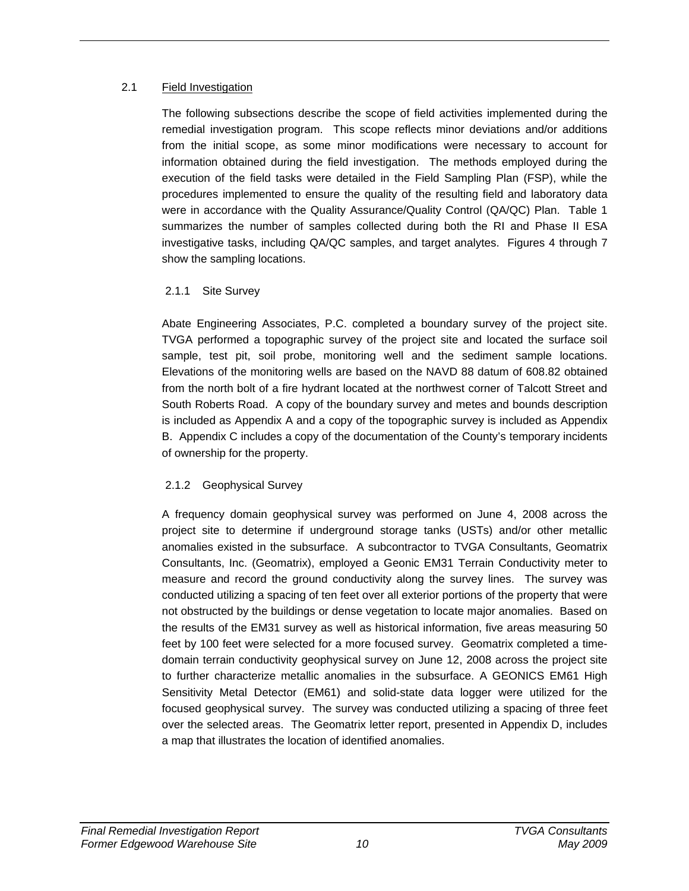### 2.1 Field Investigation

The following subsections describe the scope of field activities implemented during the remedial investigation program. This scope reflects minor deviations and/or additions from the initial scope, as some minor modifications were necessary to account for information obtained during the field investigation. The methods employed during the execution of the field tasks were detailed in the Field Sampling Plan (FSP), while the procedures implemented to ensure the quality of the resulting field and laboratory data were in accordance with the Quality Assurance/Quality Control (QA/QC) Plan. Table 1 summarizes the number of samples collected during both the RI and Phase II ESA investigative tasks, including QA/QC samples, and target analytes. Figures 4 through 7 show the sampling locations.

## 2.1.1 Site Survey

Abate Engineering Associates, P.C. completed a boundary survey of the project site. TVGA performed a topographic survey of the project site and located the surface soil sample, test pit, soil probe, monitoring well and the sediment sample locations. Elevations of the monitoring wells are based on the NAVD 88 datum of 608.82 obtained from the north bolt of a fire hydrant located at the northwest corner of Talcott Street and South Roberts Road. A copy of the boundary survey and metes and bounds description is included as Appendix A and a copy of the topographic survey is included as Appendix B. Appendix C includes a copy of the documentation of the County's temporary incidents of ownership for the property.

# 2.1.2 Geophysical Survey

A frequency domain geophysical survey was performed on June 4, 2008 across the project site to determine if underground storage tanks (USTs) and/or other metallic anomalies existed in the subsurface. A subcontractor to TVGA Consultants, Geomatrix Consultants, Inc. (Geomatrix), employed a Geonic EM31 Terrain Conductivity meter to measure and record the ground conductivity along the survey lines. The survey was conducted utilizing a spacing of ten feet over all exterior portions of the property that were not obstructed by the buildings or dense vegetation to locate major anomalies. Based on the results of the EM31 survey as well as historical information, five areas measuring 50 feet by 100 feet were selected for a more focused survey. Geomatrix completed a timedomain terrain conductivity geophysical survey on June 12, 2008 across the project site to further characterize metallic anomalies in the subsurface. A GEONICS EM61 High Sensitivity Metal Detector (EM61) and solid-state data logger were utilized for the focused geophysical survey. The survey was conducted utilizing a spacing of three feet over the selected areas. The Geomatrix letter report, presented in Appendix D, includes a map that illustrates the location of identified anomalies.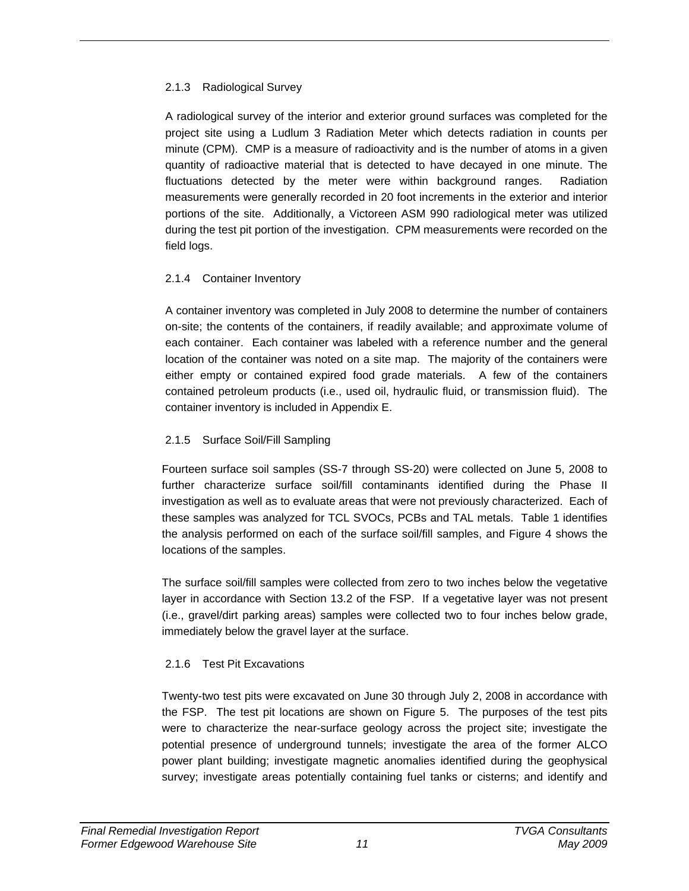## 2.1.3 Radiological Survey

A radiological survey of the interior and exterior ground surfaces was completed for the project site using a Ludlum 3 Radiation Meter which detects radiation in counts per minute (CPM). CMP is a measure of radioactivity and is the number of atoms in a given quantity of radioactive material that is detected to have decayed in one minute. The fluctuations detected by the meter were within background ranges. Radiation measurements were generally recorded in 20 foot increments in the exterior and interior portions of the site. Additionally, a Victoreen ASM 990 radiological meter was utilized during the test pit portion of the investigation. CPM measurements were recorded on the field logs.

# 2.1.4 Container Inventory

A container inventory was completed in July 2008 to determine the number of containers on-site; the contents of the containers, if readily available; and approximate volume of each container. Each container was labeled with a reference number and the general location of the container was noted on a site map. The majority of the containers were either empty or contained expired food grade materials. A few of the containers contained petroleum products (i.e., used oil, hydraulic fluid, or transmission fluid). The container inventory is included in Appendix E.

## 2.1.5 Surface Soil/Fill Sampling

Fourteen surface soil samples (SS-7 through SS-20) were collected on June 5, 2008 to further characterize surface soil/fill contaminants identified during the Phase II investigation as well as to evaluate areas that were not previously characterized. Each of these samples was analyzed for TCL SVOCs, PCBs and TAL metals. Table 1 identifies the analysis performed on each of the surface soil/fill samples, and Figure 4 shows the locations of the samples.

The surface soil/fill samples were collected from zero to two inches below the vegetative layer in accordance with Section 13.2 of the FSP. If a vegetative layer was not present (i.e., gravel/dirt parking areas) samples were collected two to four inches below grade, immediately below the gravel layer at the surface.

# 2.1.6 Test Pit Excavations

Twenty-two test pits were excavated on June 30 through July 2, 2008 in accordance with the FSP. The test pit locations are shown on Figure 5. The purposes of the test pits were to characterize the near-surface geology across the project site; investigate the potential presence of underground tunnels; investigate the area of the former ALCO power plant building; investigate magnetic anomalies identified during the geophysical survey; investigate areas potentially containing fuel tanks or cisterns; and identify and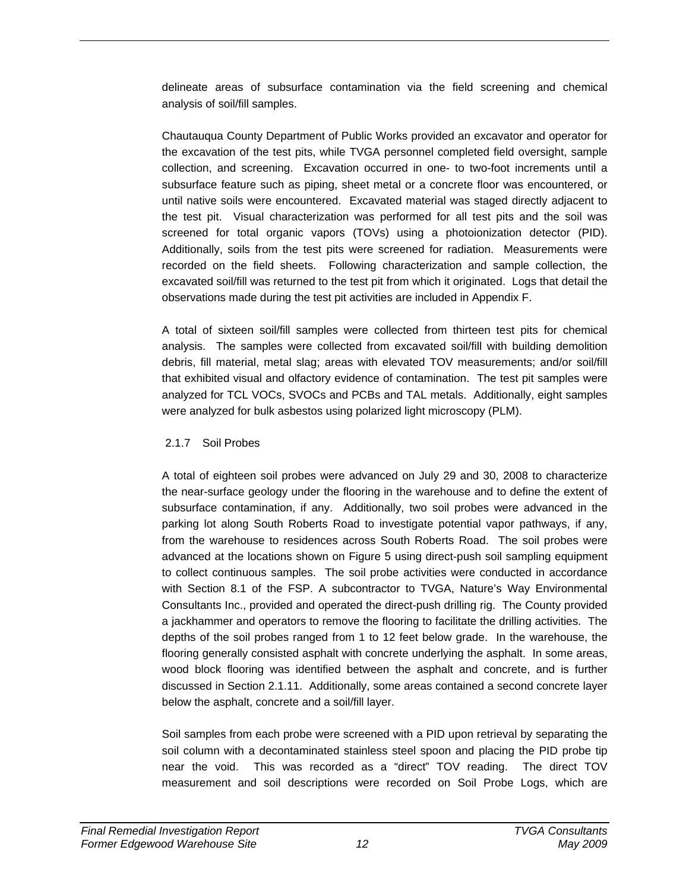delineate areas of subsurface contamination via the field screening and chemical analysis of soil/fill samples.

Chautauqua County Department of Public Works provided an excavator and operator for the excavation of the test pits, while TVGA personnel completed field oversight, sample collection, and screening. Excavation occurred in one- to two-foot increments until a subsurface feature such as piping, sheet metal or a concrete floor was encountered, or until native soils were encountered. Excavated material was staged directly adjacent to the test pit. Visual characterization was performed for all test pits and the soil was screened for total organic vapors (TOVs) using a photoionization detector (PID). Additionally, soils from the test pits were screened for radiation. Measurements were recorded on the field sheets. Following characterization and sample collection, the excavated soil/fill was returned to the test pit from which it originated. Logs that detail the observations made during the test pit activities are included in Appendix F.

A total of sixteen soil/fill samples were collected from thirteen test pits for chemical analysis. The samples were collected from excavated soil/fill with building demolition debris, fill material, metal slag; areas with elevated TOV measurements; and/or soil/fill that exhibited visual and olfactory evidence of contamination. The test pit samples were analyzed for TCL VOCs, SVOCs and PCBs and TAL metals. Additionally, eight samples were analyzed for bulk asbestos using polarized light microscopy (PLM).

## 2.1.7 Soil Probes

A total of eighteen soil probes were advanced on July 29 and 30, 2008 to characterize the near-surface geology under the flooring in the warehouse and to define the extent of subsurface contamination, if any. Additionally, two soil probes were advanced in the parking lot along South Roberts Road to investigate potential vapor pathways, if any, from the warehouse to residences across South Roberts Road. The soil probes were advanced at the locations shown on Figure 5 using direct-push soil sampling equipment to collect continuous samples. The soil probe activities were conducted in accordance with Section 8.1 of the FSP. A subcontractor to TVGA, Nature's Way Environmental Consultants Inc., provided and operated the direct-push drilling rig. The County provided a jackhammer and operators to remove the flooring to facilitate the drilling activities. The depths of the soil probes ranged from 1 to 12 feet below grade. In the warehouse, the flooring generally consisted asphalt with concrete underlying the asphalt. In some areas, wood block flooring was identified between the asphalt and concrete, and is further discussed in Section 2.1.11. Additionally, some areas contained a second concrete layer below the asphalt, concrete and a soil/fill layer.

Soil samples from each probe were screened with a PID upon retrieval by separating the soil column with a decontaminated stainless steel spoon and placing the PID probe tip near the void. This was recorded as a "direct" TOV reading. The direct TOV measurement and soil descriptions were recorded on Soil Probe Logs, which are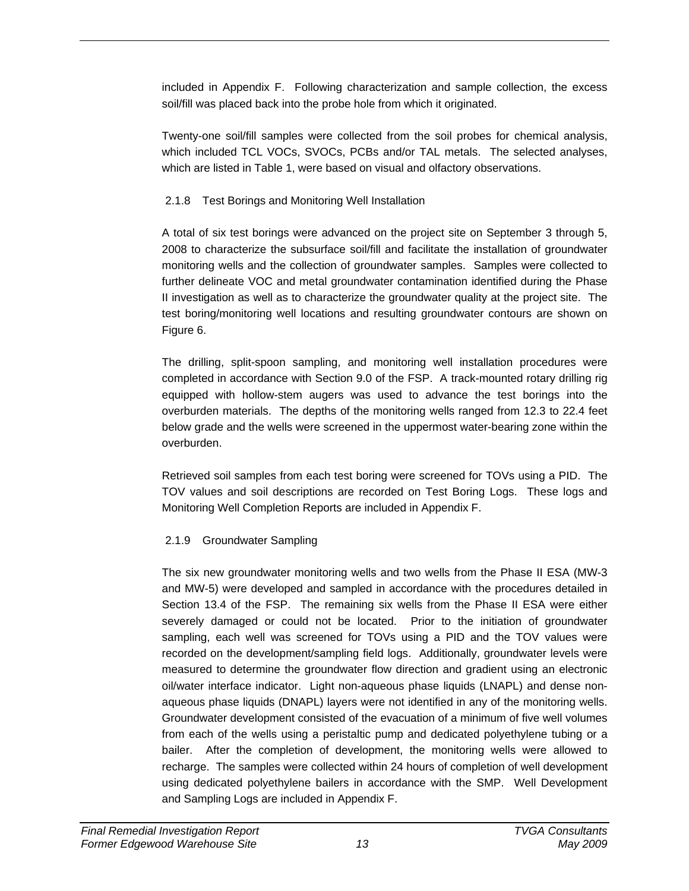included in Appendix F. Following characterization and sample collection, the excess soil/fill was placed back into the probe hole from which it originated.

Twenty-one soil/fill samples were collected from the soil probes for chemical analysis, which included TCL VOCs, SVOCs, PCBs and/or TAL metals. The selected analyses, which are listed in Table 1, were based on visual and olfactory observations.

## 2.1.8 Test Borings and Monitoring Well Installation

A total of six test borings were advanced on the project site on September 3 through 5, 2008 to characterize the subsurface soil/fill and facilitate the installation of groundwater monitoring wells and the collection of groundwater samples. Samples were collected to further delineate VOC and metal groundwater contamination identified during the Phase II investigation as well as to characterize the groundwater quality at the project site. The test boring/monitoring well locations and resulting groundwater contours are shown on Figure 6.

The drilling, split-spoon sampling, and monitoring well installation procedures were completed in accordance with Section 9.0 of the FSP. A track-mounted rotary drilling rig equipped with hollow-stem augers was used to advance the test borings into the overburden materials. The depths of the monitoring wells ranged from 12.3 to 22.4 feet below grade and the wells were screened in the uppermost water-bearing zone within the overburden.

Retrieved soil samples from each test boring were screened for TOVs using a PID. The TOV values and soil descriptions are recorded on Test Boring Logs. These logs and Monitoring Well Completion Reports are included in Appendix F.

# 2.1.9 Groundwater Sampling

The six new groundwater monitoring wells and two wells from the Phase II ESA (MW-3 and MW-5) were developed and sampled in accordance with the procedures detailed in Section 13.4 of the FSP. The remaining six wells from the Phase II ESA were either severely damaged or could not be located. Prior to the initiation of groundwater sampling, each well was screened for TOVs using a PID and the TOV values were recorded on the development/sampling field logs. Additionally, groundwater levels were measured to determine the groundwater flow direction and gradient using an electronic oil/water interface indicator. Light non-aqueous phase liquids (LNAPL) and dense nonaqueous phase liquids (DNAPL) layers were not identified in any of the monitoring wells. Groundwater development consisted of the evacuation of a minimum of five well volumes from each of the wells using a peristaltic pump and dedicated polyethylene tubing or a bailer. After the completion of development, the monitoring wells were allowed to recharge. The samples were collected within 24 hours of completion of well development using dedicated polyethylene bailers in accordance with the SMP. Well Development and Sampling Logs are included in Appendix F.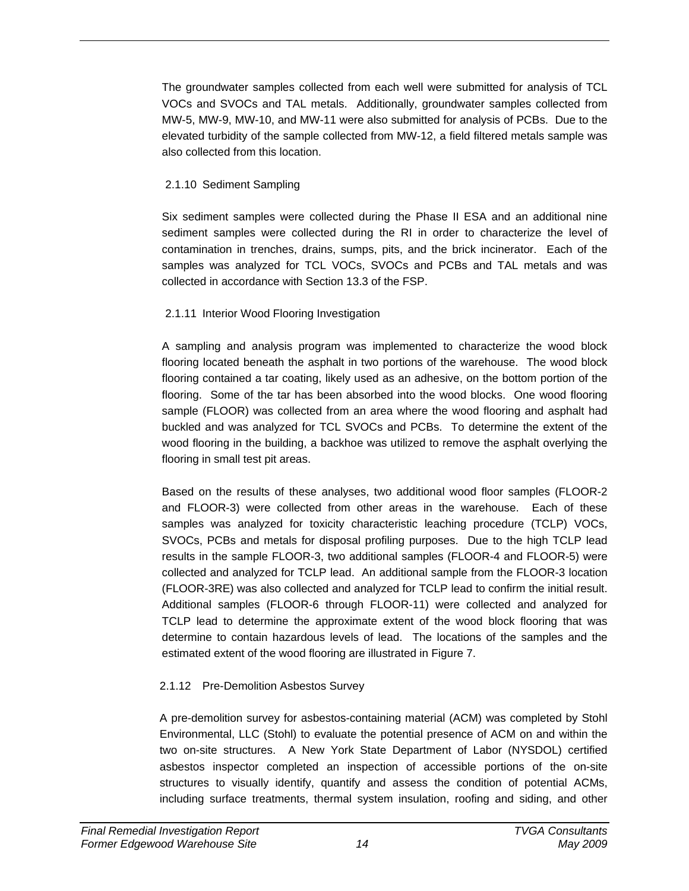The groundwater samples collected from each well were submitted for analysis of TCL VOCs and SVOCs and TAL metals. Additionally, groundwater samples collected from MW-5, MW-9, MW-10, and MW-11 were also submitted for analysis of PCBs. Due to the elevated turbidity of the sample collected from MW-12, a field filtered metals sample was also collected from this location.

## 2.1.10 Sediment Sampling

Six sediment samples were collected during the Phase II ESA and an additional nine sediment samples were collected during the RI in order to characterize the level of contamination in trenches, drains, sumps, pits, and the brick incinerator. Each of the samples was analyzed for TCL VOCs, SVOCs and PCBs and TAL metals and was collected in accordance with Section 13.3 of the FSP.

## 2.1.11 Interior Wood Flooring Investigation

A sampling and analysis program was implemented to characterize the wood block flooring located beneath the asphalt in two portions of the warehouse. The wood block flooring contained a tar coating, likely used as an adhesive, on the bottom portion of the flooring. Some of the tar has been absorbed into the wood blocks. One wood flooring sample (FLOOR) was collected from an area where the wood flooring and asphalt had buckled and was analyzed for TCL SVOCs and PCBs. To determine the extent of the wood flooring in the building, a backhoe was utilized to remove the asphalt overlying the flooring in small test pit areas.

Based on the results of these analyses, two additional wood floor samples (FLOOR-2 and FLOOR-3) were collected from other areas in the warehouse. Each of these samples was analyzed for toxicity characteristic leaching procedure (TCLP) VOCs, SVOCs, PCBs and metals for disposal profiling purposes. Due to the high TCLP lead results in the sample FLOOR-3, two additional samples (FLOOR-4 and FLOOR-5) were collected and analyzed for TCLP lead. An additional sample from the FLOOR-3 location (FLOOR-3RE) was also collected and analyzed for TCLP lead to confirm the initial result. Additional samples (FLOOR-6 through FLOOR-11) were collected and analyzed for TCLP lead to determine the approximate extent of the wood block flooring that was determine to contain hazardous levels of lead. The locations of the samples and the estimated extent of the wood flooring are illustrated in Figure 7.

# 2.1.12 Pre-Demolition Asbestos Survey

A pre-demolition survey for asbestos-containing material (ACM) was completed by Stohl Environmental, LLC (Stohl) to evaluate the potential presence of ACM on and within the two on-site structures. A New York State Department of Labor (NYSDOL) certified asbestos inspector completed an inspection of accessible portions of the on-site structures to visually identify, quantify and assess the condition of potential ACMs, including surface treatments, thermal system insulation, roofing and siding, and other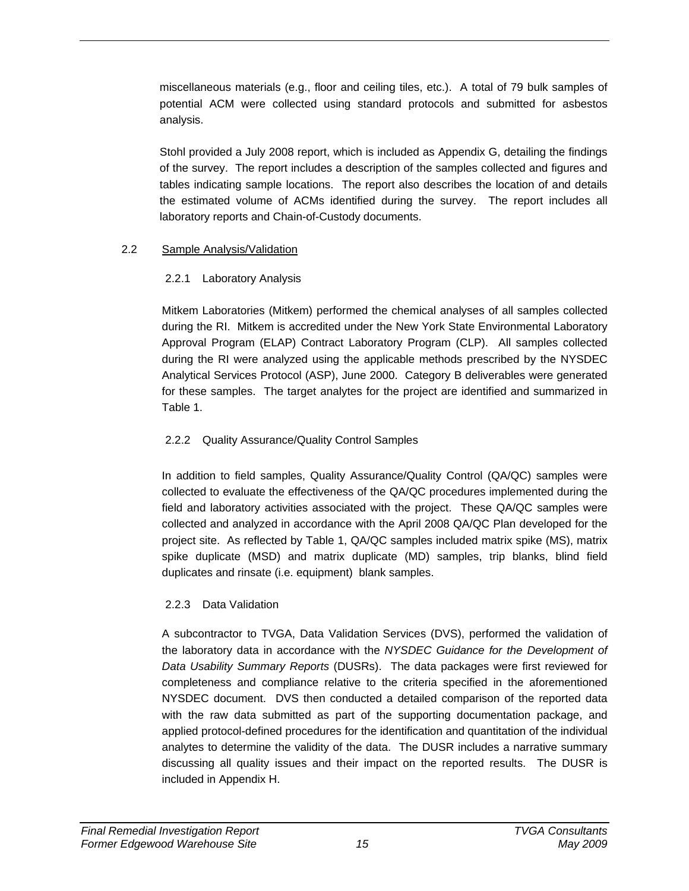miscellaneous materials (e.g., floor and ceiling tiles, etc.). A total of 79 bulk samples of potential ACM were collected using standard protocols and submitted for asbestos analysis.

Stohl provided a July 2008 report, which is included as Appendix G, detailing the findings of the survey. The report includes a description of the samples collected and figures and tables indicating sample locations. The report also describes the location of and details the estimated volume of ACMs identified during the survey. The report includes all laboratory reports and Chain-of-Custody documents.

## 2.2 Sample Analysis/Validation

## 2.2.1 Laboratory Analysis

Mitkem Laboratories (Mitkem) performed the chemical analyses of all samples collected during the RI. Mitkem is accredited under the New York State Environmental Laboratory Approval Program (ELAP) Contract Laboratory Program (CLP). All samples collected during the RI were analyzed using the applicable methods prescribed by the NYSDEC Analytical Services Protocol (ASP), June 2000. Category B deliverables were generated for these samples. The target analytes for the project are identified and summarized in Table 1.

## 2.2.2 Quality Assurance/Quality Control Samples

In addition to field samples, Quality Assurance/Quality Control (QA/QC) samples were collected to evaluate the effectiveness of the QA/QC procedures implemented during the field and laboratory activities associated with the project. These QA/QC samples were collected and analyzed in accordance with the April 2008 QA/QC Plan developed for the project site. As reflected by Table 1, QA/QC samples included matrix spike (MS), matrix spike duplicate (MSD) and matrix duplicate (MD) samples, trip blanks, blind field duplicates and rinsate (i.e. equipment) blank samples.

## 2.2.3 Data Validation

A subcontractor to TVGA, Data Validation Services (DVS), performed the validation of the laboratory data in accordance with the *NYSDEC Guidance for the Development of Data Usability Summary Reports* (DUSRs). The data packages were first reviewed for completeness and compliance relative to the criteria specified in the aforementioned NYSDEC document. DVS then conducted a detailed comparison of the reported data with the raw data submitted as part of the supporting documentation package, and applied protocol-defined procedures for the identification and quantitation of the individual analytes to determine the validity of the data. The DUSR includes a narrative summary discussing all quality issues and their impact on the reported results. The DUSR is included in Appendix H.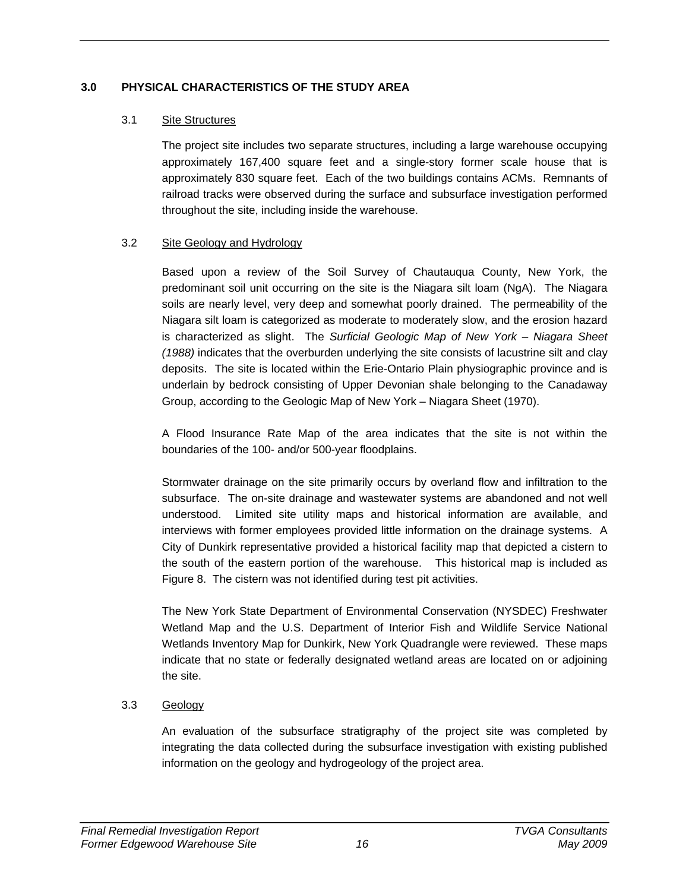## **3.0 PHYSICAL CHARACTERISTICS OF THE STUDY AREA**

### 3.1 Site Structures

The project site includes two separate structures, including a large warehouse occupying approximately 167,400 square feet and a single-story former scale house that is approximately 830 square feet. Each of the two buildings contains ACMs. Remnants of railroad tracks were observed during the surface and subsurface investigation performed throughout the site, including inside the warehouse.

### 3.2 Site Geology and Hydrology

Based upon a review of the Soil Survey of Chautauqua County, New York, the predominant soil unit occurring on the site is the Niagara silt loam (NgA). The Niagara soils are nearly level, very deep and somewhat poorly drained. The permeability of the Niagara silt loam is categorized as moderate to moderately slow, and the erosion hazard is characterized as slight. The *Surficial Geologic Map of New York – Niagara Sheet (1988)* indicates that the overburden underlying the site consists of lacustrine silt and clay deposits. The site is located within the Erie-Ontario Plain physiographic province and is underlain by bedrock consisting of Upper Devonian shale belonging to the Canadaway Group, according to the Geologic Map of New York – Niagara Sheet (1970).

A Flood Insurance Rate Map of the area indicates that the site is not within the boundaries of the 100- and/or 500-year floodplains.

Stormwater drainage on the site primarily occurs by overland flow and infiltration to the subsurface. The on-site drainage and wastewater systems are abandoned and not well understood. Limited site utility maps and historical information are available, and interviews with former employees provided little information on the drainage systems. A City of Dunkirk representative provided a historical facility map that depicted a cistern to the south of the eastern portion of the warehouse. This historical map is included as Figure 8. The cistern was not identified during test pit activities.

The New York State Department of Environmental Conservation (NYSDEC) Freshwater Wetland Map and the U.S. Department of Interior Fish and Wildlife Service National Wetlands Inventory Map for Dunkirk, New York Quadrangle were reviewed. These maps indicate that no state or federally designated wetland areas are located on or adjoining the site.

## 3.3 Geology

An evaluation of the subsurface stratigraphy of the project site was completed by integrating the data collected during the subsurface investigation with existing published information on the geology and hydrogeology of the project area.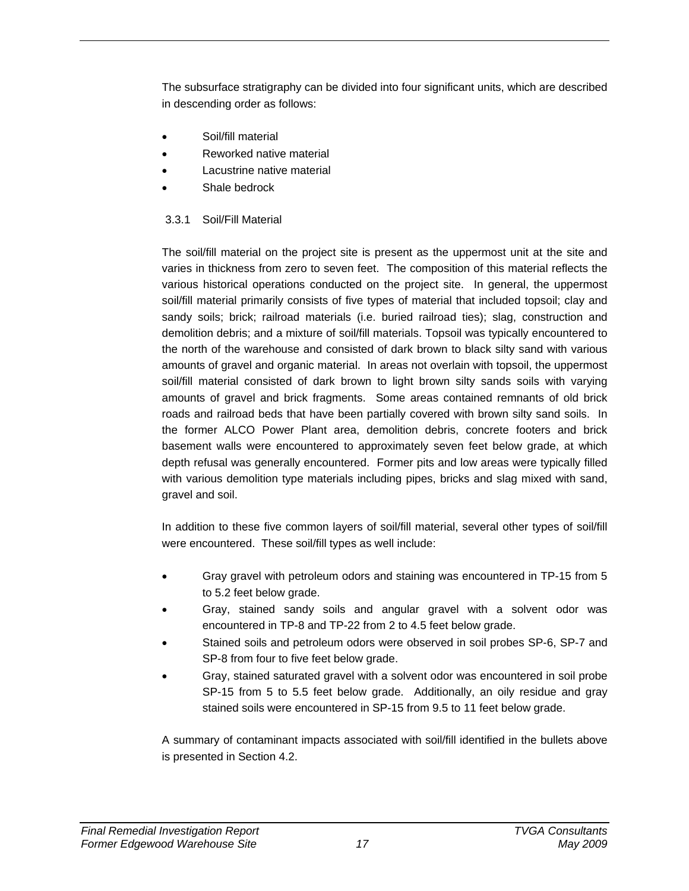The subsurface stratigraphy can be divided into four significant units, which are described in descending order as follows:

- Soil/fill material
- Reworked native material
- Lacustrine native material
- Shale bedrock

## 3.3.1 Soil/Fill Material

The soil/fill material on the project site is present as the uppermost unit at the site and varies in thickness from zero to seven feet. The composition of this material reflects the various historical operations conducted on the project site. In general, the uppermost soil/fill material primarily consists of five types of material that included topsoil; clay and sandy soils; brick; railroad materials (i.e. buried railroad ties); slag, construction and demolition debris; and a mixture of soil/fill materials. Topsoil was typically encountered to the north of the warehouse and consisted of dark brown to black silty sand with various amounts of gravel and organic material. In areas not overlain with topsoil, the uppermost soil/fill material consisted of dark brown to light brown silty sands soils with varying amounts of gravel and brick fragments. Some areas contained remnants of old brick roads and railroad beds that have been partially covered with brown silty sand soils. In the former ALCO Power Plant area, demolition debris, concrete footers and brick basement walls were encountered to approximately seven feet below grade, at which depth refusal was generally encountered. Former pits and low areas were typically filled with various demolition type materials including pipes, bricks and slag mixed with sand, gravel and soil.

In addition to these five common layers of soil/fill material, several other types of soil/fill were encountered. These soil/fill types as well include:

- Gray gravel with petroleum odors and staining was encountered in TP-15 from 5 to 5.2 feet below grade.
- Gray, stained sandy soils and angular gravel with a solvent odor was encountered in TP-8 and TP-22 from 2 to 4.5 feet below grade.
- Stained soils and petroleum odors were observed in soil probes SP-6, SP-7 and SP-8 from four to five feet below grade.
- Gray, stained saturated gravel with a solvent odor was encountered in soil probe SP-15 from 5 to 5.5 feet below grade. Additionally, an oily residue and gray stained soils were encountered in SP-15 from 9.5 to 11 feet below grade.

A summary of contaminant impacts associated with soil/fill identified in the bullets above is presented in Section 4.2.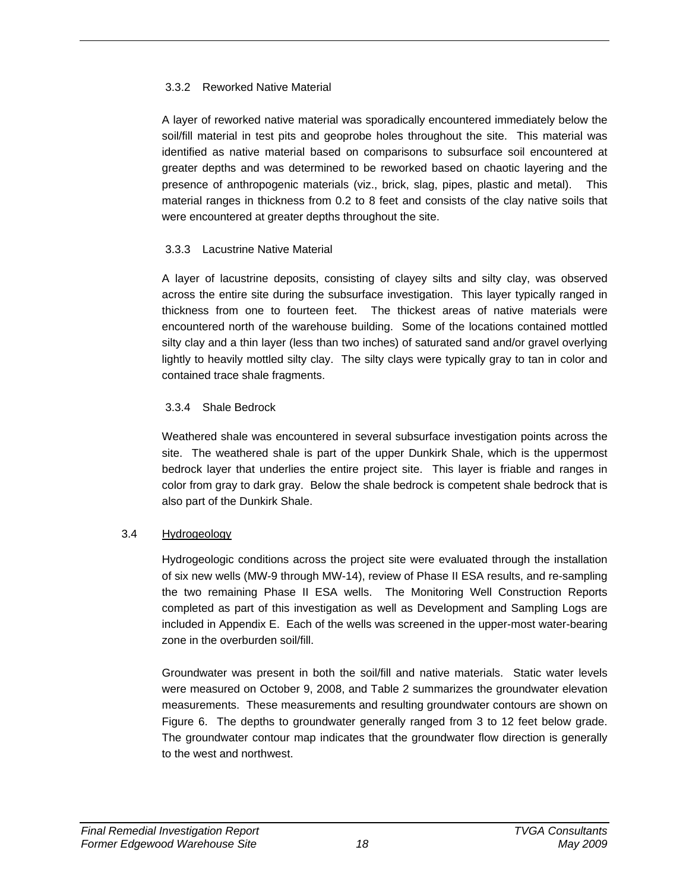## 3.3.2 Reworked Native Material

A layer of reworked native material was sporadically encountered immediately below the soil/fill material in test pits and geoprobe holes throughout the site. This material was identified as native material based on comparisons to subsurface soil encountered at greater depths and was determined to be reworked based on chaotic layering and the presence of anthropogenic materials (viz., brick, slag, pipes, plastic and metal). This material ranges in thickness from 0.2 to 8 feet and consists of the clay native soils that were encountered at greater depths throughout the site.

### 3.3.3 Lacustrine Native Material

A layer of lacustrine deposits, consisting of clayey silts and silty clay, was observed across the entire site during the subsurface investigation. This layer typically ranged in thickness from one to fourteen feet. The thickest areas of native materials were encountered north of the warehouse building. Some of the locations contained mottled silty clay and a thin layer (less than two inches) of saturated sand and/or gravel overlying lightly to heavily mottled silty clay. The silty clays were typically gray to tan in color and contained trace shale fragments.

## 3.3.4 Shale Bedrock

Weathered shale was encountered in several subsurface investigation points across the site. The weathered shale is part of the upper Dunkirk Shale, which is the uppermost bedrock layer that underlies the entire project site. This layer is friable and ranges in color from gray to dark gray. Below the shale bedrock is competent shale bedrock that is also part of the Dunkirk Shale.

## 3.4 Hydrogeology

Hydrogeologic conditions across the project site were evaluated through the installation of six new wells (MW-9 through MW-14), review of Phase II ESA results, and re-sampling the two remaining Phase II ESA wells. The Monitoring Well Construction Reports completed as part of this investigation as well as Development and Sampling Logs are included in Appendix E. Each of the wells was screened in the upper-most water-bearing zone in the overburden soil/fill.

Groundwater was present in both the soil/fill and native materials. Static water levels were measured on October 9, 2008, and Table 2 summarizes the groundwater elevation measurements. These measurements and resulting groundwater contours are shown on Figure 6. The depths to groundwater generally ranged from 3 to 12 feet below grade. The groundwater contour map indicates that the groundwater flow direction is generally to the west and northwest.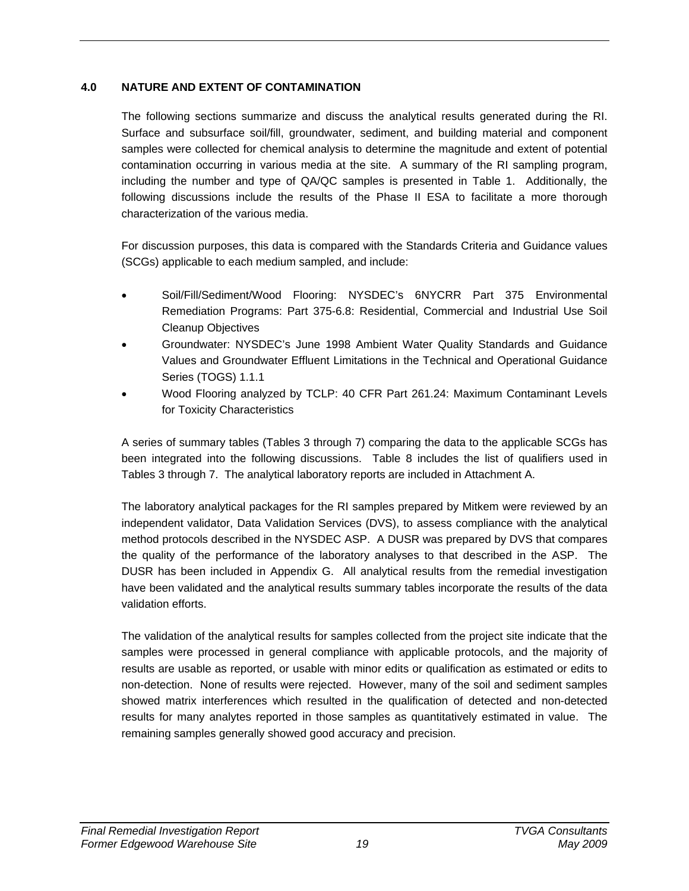## **4.0 NATURE AND EXTENT OF CONTAMINATION**

The following sections summarize and discuss the analytical results generated during the RI. Surface and subsurface soil/fill, groundwater, sediment, and building material and component samples were collected for chemical analysis to determine the magnitude and extent of potential contamination occurring in various media at the site. A summary of the RI sampling program, including the number and type of QA/QC samples is presented in Table 1. Additionally, the following discussions include the results of the Phase II ESA to facilitate a more thorough characterization of the various media.

For discussion purposes, this data is compared with the Standards Criteria and Guidance values (SCGs) applicable to each medium sampled, and include:

- Soil/Fill/Sediment/Wood Flooring: NYSDEC's 6NYCRR Part 375 Environmental Remediation Programs: Part 375-6.8: Residential, Commercial and Industrial Use Soil Cleanup Objectives
- Groundwater: NYSDEC's June 1998 Ambient Water Quality Standards and Guidance Values and Groundwater Effluent Limitations in the Technical and Operational Guidance Series (TOGS) 1.1.1
- Wood Flooring analyzed by TCLP: 40 CFR Part 261.24: Maximum Contaminant Levels for Toxicity Characteristics

A series of summary tables (Tables 3 through 7) comparing the data to the applicable SCGs has been integrated into the following discussions. Table 8 includes the list of qualifiers used in Tables 3 through 7. The analytical laboratory reports are included in Attachment A.

The laboratory analytical packages for the RI samples prepared by Mitkem were reviewed by an independent validator, Data Validation Services (DVS), to assess compliance with the analytical method protocols described in the NYSDEC ASP. A DUSR was prepared by DVS that compares the quality of the performance of the laboratory analyses to that described in the ASP. The DUSR has been included in Appendix G. All analytical results from the remedial investigation have been validated and the analytical results summary tables incorporate the results of the data validation efforts.

The validation of the analytical results for samples collected from the project site indicate that the samples were processed in general compliance with applicable protocols, and the majority of results are usable as reported, or usable with minor edits or qualification as estimated or edits to non-detection. None of results were rejected. However, many of the soil and sediment samples showed matrix interferences which resulted in the qualification of detected and non-detected results for many analytes reported in those samples as quantitatively estimated in value. The remaining samples generally showed good accuracy and precision.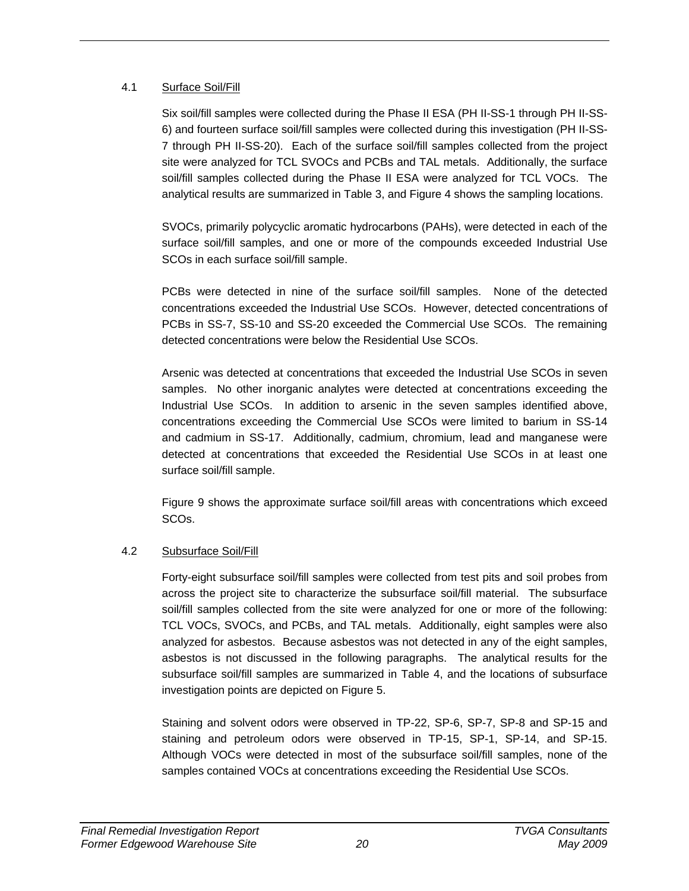### 4.1 Surface Soil/Fill

Six soil/fill samples were collected during the Phase II ESA (PH II-SS-1 through PH II-SS-6) and fourteen surface soil/fill samples were collected during this investigation (PH II-SS-7 through PH II-SS-20). Each of the surface soil/fill samples collected from the project site were analyzed for TCL SVOCs and PCBs and TAL metals. Additionally, the surface soil/fill samples collected during the Phase II ESA were analyzed for TCL VOCs. The analytical results are summarized in Table 3, and Figure 4 shows the sampling locations.

SVOCs, primarily polycyclic aromatic hydrocarbons (PAHs), were detected in each of the surface soil/fill samples, and one or more of the compounds exceeded Industrial Use SCOs in each surface soil/fill sample.

PCBs were detected in nine of the surface soil/fill samples. None of the detected concentrations exceeded the Industrial Use SCOs. However, detected concentrations of PCBs in SS-7, SS-10 and SS-20 exceeded the Commercial Use SCOs. The remaining detected concentrations were below the Residential Use SCOs.

Arsenic was detected at concentrations that exceeded the Industrial Use SCOs in seven samples. No other inorganic analytes were detected at concentrations exceeding the Industrial Use SCOs. In addition to arsenic in the seven samples identified above, concentrations exceeding the Commercial Use SCOs were limited to barium in SS-14 and cadmium in SS-17. Additionally, cadmium, chromium, lead and manganese were detected at concentrations that exceeded the Residential Use SCOs in at least one surface soil/fill sample.

Figure 9 shows the approximate surface soil/fill areas with concentrations which exceed SCOs.

## 4.2 Subsurface Soil/Fill

Forty-eight subsurface soil/fill samples were collected from test pits and soil probes from across the project site to characterize the subsurface soil/fill material. The subsurface soil/fill samples collected from the site were analyzed for one or more of the following: TCL VOCs, SVOCs, and PCBs, and TAL metals. Additionally, eight samples were also analyzed for asbestos. Because asbestos was not detected in any of the eight samples, asbestos is not discussed in the following paragraphs. The analytical results for the subsurface soil/fill samples are summarized in Table 4, and the locations of subsurface investigation points are depicted on Figure 5.

Staining and solvent odors were observed in TP-22, SP-6, SP-7, SP-8 and SP-15 and staining and petroleum odors were observed in TP-15, SP-1, SP-14, and SP-15. Although VOCs were detected in most of the subsurface soil/fill samples, none of the samples contained VOCs at concentrations exceeding the Residential Use SCOs.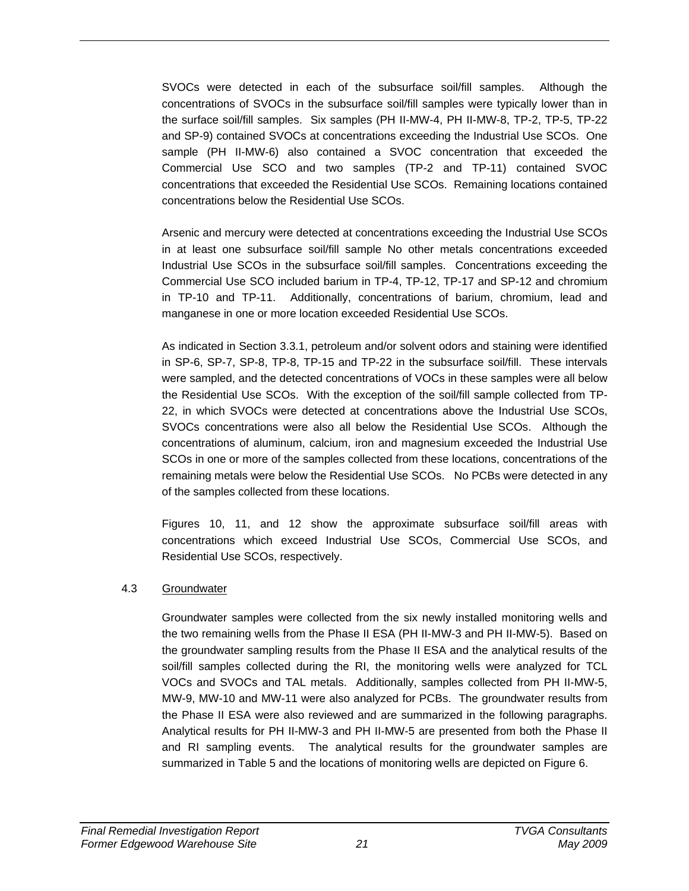SVOCs were detected in each of the subsurface soil/fill samples. Although the concentrations of SVOCs in the subsurface soil/fill samples were typically lower than in the surface soil/fill samples. Six samples (PH II-MW-4, PH II-MW-8, TP-2, TP-5, TP-22 and SP-9) contained SVOCs at concentrations exceeding the Industrial Use SCOs. One sample (PH II-MW-6) also contained a SVOC concentration that exceeded the Commercial Use SCO and two samples (TP-2 and TP-11) contained SVOC concentrations that exceeded the Residential Use SCOs. Remaining locations contained concentrations below the Residential Use SCOs.

Arsenic and mercury were detected at concentrations exceeding the Industrial Use SCOs in at least one subsurface soil/fill sample No other metals concentrations exceeded Industrial Use SCOs in the subsurface soil/fill samples. Concentrations exceeding the Commercial Use SCO included barium in TP-4, TP-12, TP-17 and SP-12 and chromium in TP-10 and TP-11. Additionally, concentrations of barium, chromium, lead and manganese in one or more location exceeded Residential Use SCOs.

As indicated in Section 3.3.1, petroleum and/or solvent odors and staining were identified in SP-6, SP-7, SP-8, TP-8, TP-15 and TP-22 in the subsurface soil/fill. These intervals were sampled, and the detected concentrations of VOCs in these samples were all below the Residential Use SCOs. With the exception of the soil/fill sample collected from TP-22, in which SVOCs were detected at concentrations above the Industrial Use SCOs, SVOCs concentrations were also all below the Residential Use SCOs. Although the concentrations of aluminum, calcium, iron and magnesium exceeded the Industrial Use SCOs in one or more of the samples collected from these locations, concentrations of the remaining metals were below the Residential Use SCOs. No PCBs were detected in any of the samples collected from these locations.

Figures 10, 11, and 12 show the approximate subsurface soil/fill areas with concentrations which exceed Industrial Use SCOs, Commercial Use SCOs, and Residential Use SCOs, respectively.

### 4.3 Groundwater

Groundwater samples were collected from the six newly installed monitoring wells and the two remaining wells from the Phase II ESA (PH II-MW-3 and PH II-MW-5). Based on the groundwater sampling results from the Phase II ESA and the analytical results of the soil/fill samples collected during the RI, the monitoring wells were analyzed for TCL VOCs and SVOCs and TAL metals. Additionally, samples collected from PH II-MW-5, MW-9, MW-10 and MW-11 were also analyzed for PCBs. The groundwater results from the Phase II ESA were also reviewed and are summarized in the following paragraphs. Analytical results for PH II-MW-3 and PH II-MW-5 are presented from both the Phase II and RI sampling events. The analytical results for the groundwater samples are summarized in Table 5 and the locations of monitoring wells are depicted on Figure 6.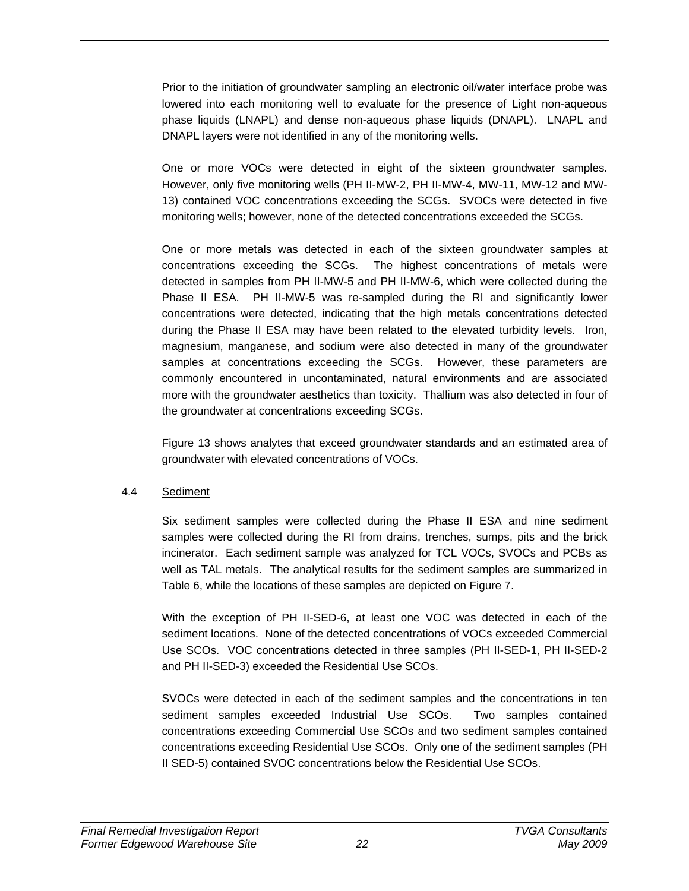Prior to the initiation of groundwater sampling an electronic oil/water interface probe was lowered into each monitoring well to evaluate for the presence of Light non-aqueous phase liquids (LNAPL) and dense non-aqueous phase liquids (DNAPL). LNAPL and DNAPL layers were not identified in any of the monitoring wells.

One or more VOCs were detected in eight of the sixteen groundwater samples. However, only five monitoring wells (PH II-MW-2, PH II-MW-4, MW-11, MW-12 and MW-13) contained VOC concentrations exceeding the SCGs. SVOCs were detected in five monitoring wells; however, none of the detected concentrations exceeded the SCGs.

One or more metals was detected in each of the sixteen groundwater samples at concentrations exceeding the SCGs. The highest concentrations of metals were detected in samples from PH II-MW-5 and PH II-MW-6, which were collected during the Phase II ESA. PH II-MW-5 was re-sampled during the RI and significantly lower concentrations were detected, indicating that the high metals concentrations detected during the Phase II ESA may have been related to the elevated turbidity levels. Iron, magnesium, manganese, and sodium were also detected in many of the groundwater samples at concentrations exceeding the SCGs. However, these parameters are commonly encountered in uncontaminated, natural environments and are associated more with the groundwater aesthetics than toxicity. Thallium was also detected in four of the groundwater at concentrations exceeding SCGs.

Figure 13 shows analytes that exceed groundwater standards and an estimated area of groundwater with elevated concentrations of VOCs.

### 4.4 Sediment

Six sediment samples were collected during the Phase II ESA and nine sediment samples were collected during the RI from drains, trenches, sumps, pits and the brick incinerator. Each sediment sample was analyzed for TCL VOCs, SVOCs and PCBs as well as TAL metals. The analytical results for the sediment samples are summarized in Table 6, while the locations of these samples are depicted on Figure 7.

With the exception of PH II-SED-6, at least one VOC was detected in each of the sediment locations. None of the detected concentrations of VOCs exceeded Commercial Use SCOs. VOC concentrations detected in three samples (PH II-SED-1, PH II-SED-2 and PH II-SED-3) exceeded the Residential Use SCOs.

SVOCs were detected in each of the sediment samples and the concentrations in ten sediment samples exceeded Industrial Use SCOs. Two samples contained concentrations exceeding Commercial Use SCOs and two sediment samples contained concentrations exceeding Residential Use SCOs. Only one of the sediment samples (PH II SED-5) contained SVOC concentrations below the Residential Use SCOs.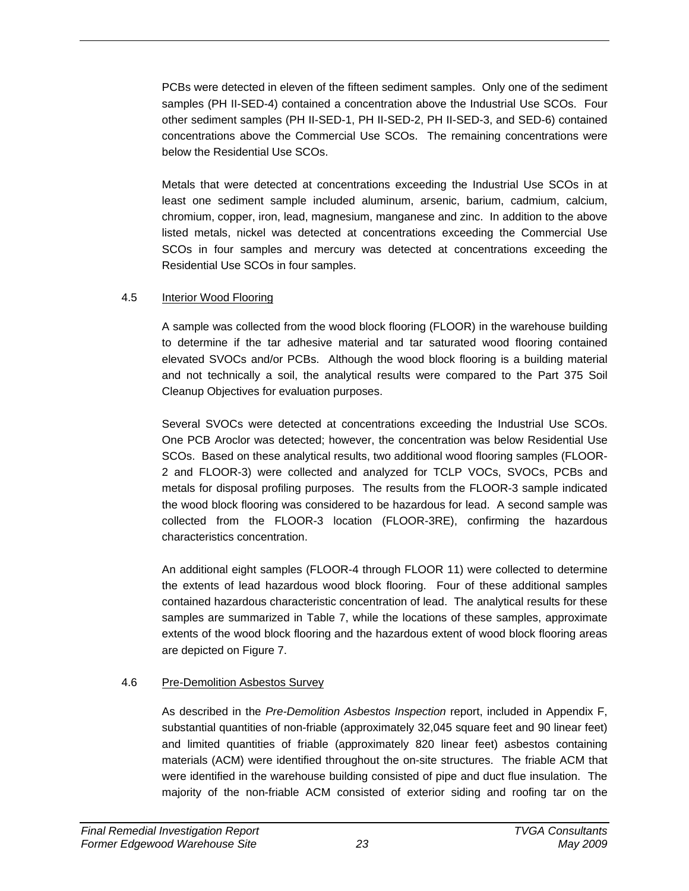PCBs were detected in eleven of the fifteen sediment samples. Only one of the sediment samples (PH II-SED-4) contained a concentration above the Industrial Use SCOs. Four other sediment samples (PH II-SED-1, PH II-SED-2, PH II-SED-3, and SED-6) contained concentrations above the Commercial Use SCOs. The remaining concentrations were below the Residential Use SCOs.

Metals that were detected at concentrations exceeding the Industrial Use SCOs in at least one sediment sample included aluminum, arsenic, barium, cadmium, calcium, chromium, copper, iron, lead, magnesium, manganese and zinc. In addition to the above listed metals, nickel was detected at concentrations exceeding the Commercial Use SCOs in four samples and mercury was detected at concentrations exceeding the Residential Use SCOs in four samples.

## 4.5 Interior Wood Flooring

A sample was collected from the wood block flooring (FLOOR) in the warehouse building to determine if the tar adhesive material and tar saturated wood flooring contained elevated SVOCs and/or PCBs. Although the wood block flooring is a building material and not technically a soil, the analytical results were compared to the Part 375 Soil Cleanup Objectives for evaluation purposes.

Several SVOCs were detected at concentrations exceeding the Industrial Use SCOs. One PCB Aroclor was detected; however, the concentration was below Residential Use SCOs. Based on these analytical results, two additional wood flooring samples (FLOOR-2 and FLOOR-3) were collected and analyzed for TCLP VOCs, SVOCs, PCBs and metals for disposal profiling purposes. The results from the FLOOR-3 sample indicated the wood block flooring was considered to be hazardous for lead. A second sample was collected from the FLOOR-3 location (FLOOR-3RE), confirming the hazardous characteristics concentration.

An additional eight samples (FLOOR-4 through FLOOR 11) were collected to determine the extents of lead hazardous wood block flooring. Four of these additional samples contained hazardous characteristic concentration of lead. The analytical results for these samples are summarized in Table 7, while the locations of these samples, approximate extents of the wood block flooring and the hazardous extent of wood block flooring areas are depicted on Figure 7.

# 4.6 Pre-Demolition Asbestos Survey

As described in the *Pre-Demolition Asbestos Inspection* report, included in Appendix F, substantial quantities of non-friable (approximately 32,045 square feet and 90 linear feet) and limited quantities of friable (approximately 820 linear feet) asbestos containing materials (ACM) were identified throughout the on-site structures. The friable ACM that were identified in the warehouse building consisted of pipe and duct flue insulation. The majority of the non-friable ACM consisted of exterior siding and roofing tar on the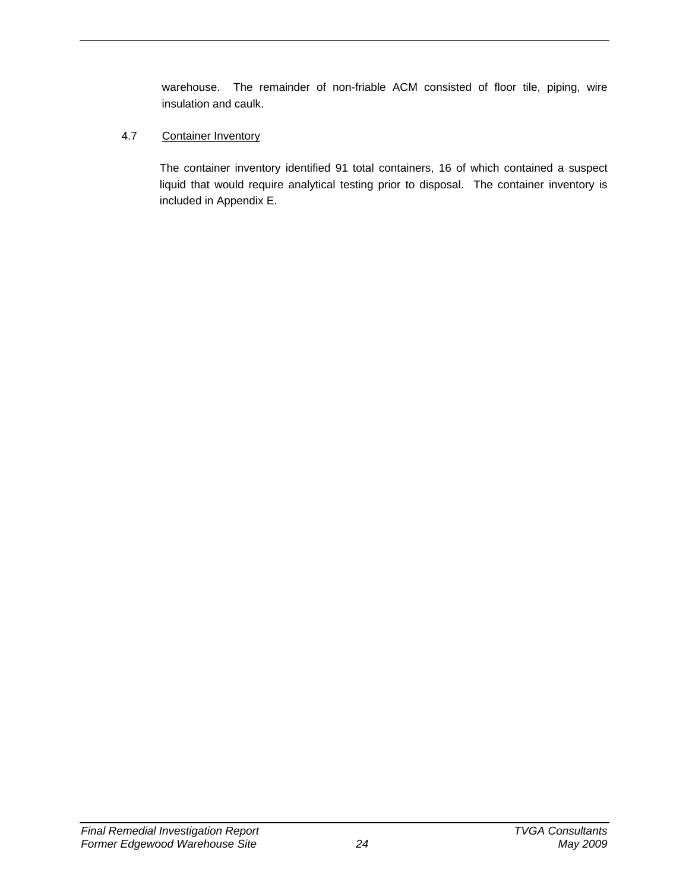warehouse. The remainder of non-friable ACM consisted of floor tile, piping, wire insulation and caulk.

## 4.7 Container Inventory

The container inventory identified 91 total containers, 16 of which contained a suspect liquid that would require analytical testing prior to disposal. The container inventory is included in Appendix E.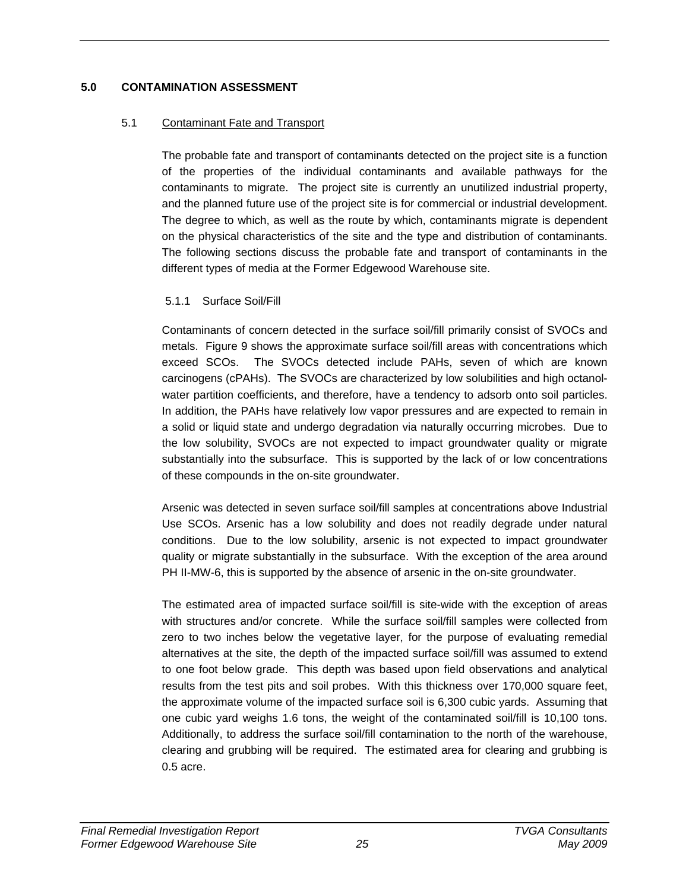### **5.0 CONTAMINATION ASSESSMENT**

### 5.1 Contaminant Fate and Transport

The probable fate and transport of contaminants detected on the project site is a function of the properties of the individual contaminants and available pathways for the contaminants to migrate. The project site is currently an unutilized industrial property, and the planned future use of the project site is for commercial or industrial development. The degree to which, as well as the route by which, contaminants migrate is dependent on the physical characteristics of the site and the type and distribution of contaminants. The following sections discuss the probable fate and transport of contaminants in the different types of media at the Former Edgewood Warehouse site.

## 5.1.1 Surface Soil/Fill

Contaminants of concern detected in the surface soil/fill primarily consist of SVOCs and metals. Figure 9 shows the approximate surface soil/fill areas with concentrations which exceed SCOs. The SVOCs detected include PAHs, seven of which are known carcinogens (cPAHs). The SVOCs are characterized by low solubilities and high octanolwater partition coefficients, and therefore, have a tendency to adsorb onto soil particles. In addition, the PAHs have relatively low vapor pressures and are expected to remain in a solid or liquid state and undergo degradation via naturally occurring microbes. Due to the low solubility, SVOCs are not expected to impact groundwater quality or migrate substantially into the subsurface. This is supported by the lack of or low concentrations of these compounds in the on-site groundwater.

Arsenic was detected in seven surface soil/fill samples at concentrations above Industrial Use SCOs. Arsenic has a low solubility and does not readily degrade under natural conditions. Due to the low solubility, arsenic is not expected to impact groundwater quality or migrate substantially in the subsurface. With the exception of the area around PH II-MW-6, this is supported by the absence of arsenic in the on-site groundwater.

The estimated area of impacted surface soil/fill is site-wide with the exception of areas with structures and/or concrete. While the surface soil/fill samples were collected from zero to two inches below the vegetative layer, for the purpose of evaluating remedial alternatives at the site, the depth of the impacted surface soil/fill was assumed to extend to one foot below grade. This depth was based upon field observations and analytical results from the test pits and soil probes. With this thickness over 170,000 square feet, the approximate volume of the impacted surface soil is 6,300 cubic yards. Assuming that one cubic yard weighs 1.6 tons, the weight of the contaminated soil/fill is 10,100 tons. Additionally, to address the surface soil/fill contamination to the north of the warehouse, clearing and grubbing will be required. The estimated area for clearing and grubbing is 0.5 acre.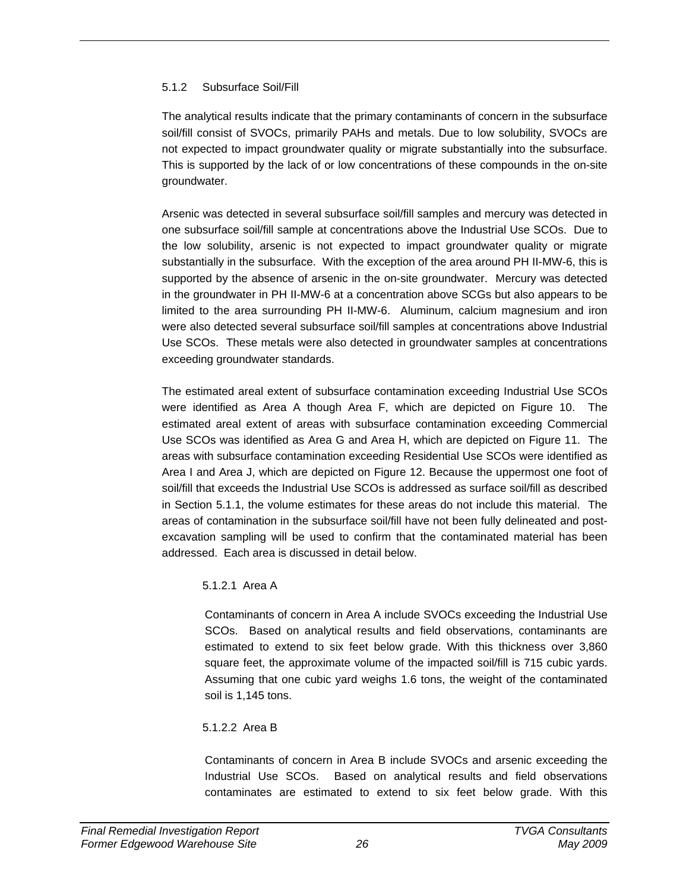## 5.1.2 Subsurface Soil/Fill

The analytical results indicate that the primary contaminants of concern in the subsurface soil/fill consist of SVOCs, primarily PAHs and metals. Due to low solubility, SVOCs are not expected to impact groundwater quality or migrate substantially into the subsurface. This is supported by the lack of or low concentrations of these compounds in the on-site groundwater.

Arsenic was detected in several subsurface soil/fill samples and mercury was detected in one subsurface soil/fill sample at concentrations above the Industrial Use SCOs. Due to the low solubility, arsenic is not expected to impact groundwater quality or migrate substantially in the subsurface. With the exception of the area around PH II-MW-6, this is supported by the absence of arsenic in the on-site groundwater. Mercury was detected in the groundwater in PH II-MW-6 at a concentration above SCGs but also appears to be limited to the area surrounding PH II-MW-6. Aluminum, calcium magnesium and iron were also detected several subsurface soil/fill samples at concentrations above Industrial Use SCOs. These metals were also detected in groundwater samples at concentrations exceeding groundwater standards.

The estimated areal extent of subsurface contamination exceeding Industrial Use SCOs were identified as Area A though Area F, which are depicted on Figure 10. The estimated areal extent of areas with subsurface contamination exceeding Commercial Use SCOs was identified as Area G and Area H, which are depicted on Figure 11. The areas with subsurface contamination exceeding Residential Use SCOs were identified as Area I and Area J, which are depicted on Figure 12. Because the uppermost one foot of soil/fill that exceeds the Industrial Use SCOs is addressed as surface soil/fill as described in Section 5.1.1, the volume estimates for these areas do not include this material. The areas of contamination in the subsurface soil/fill have not been fully delineated and postexcavation sampling will be used to confirm that the contaminated material has been addressed. Each area is discussed in detail below.

### 5.1.2.1 Area A

Contaminants of concern in Area A include SVOCs exceeding the Industrial Use SCOs. Based on analytical results and field observations, contaminants are estimated to extend to six feet below grade. With this thickness over 3,860 square feet, the approximate volume of the impacted soil/fill is 715 cubic yards. Assuming that one cubic yard weighs 1.6 tons, the weight of the contaminated soil is 1,145 tons.

### 5.1.2.2 Area B

Contaminants of concern in Area B include SVOCs and arsenic exceeding the Industrial Use SCOs. Based on analytical results and field observations contaminates are estimated to extend to six feet below grade. With this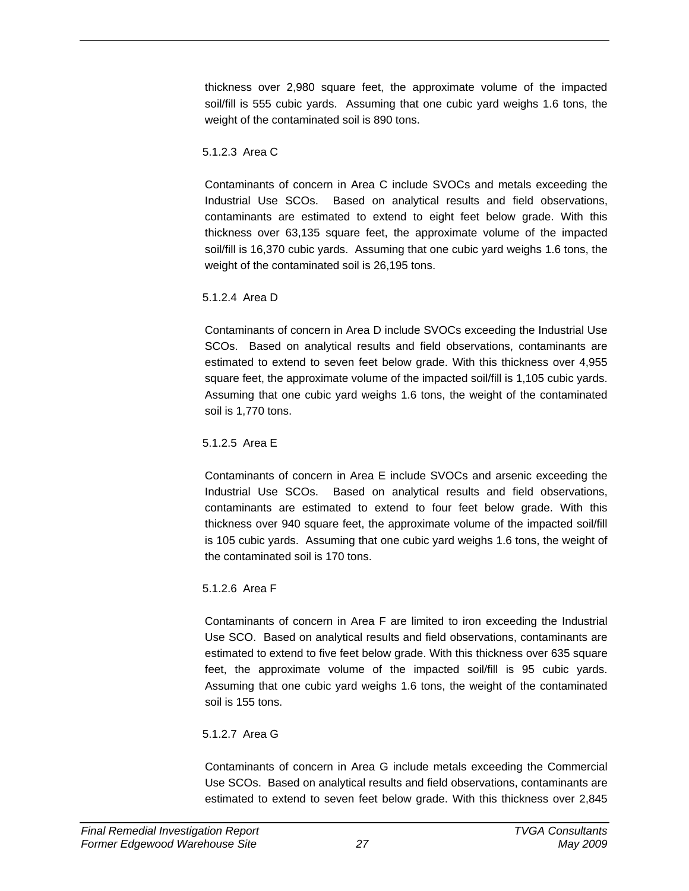thickness over 2,980 square feet, the approximate volume of the impacted soil/fill is 555 cubic yards. Assuming that one cubic yard weighs 1.6 tons, the weight of the contaminated soil is 890 tons.

### 5.1.2.3 Area C

Contaminants of concern in Area C include SVOCs and metals exceeding the Industrial Use SCOs. Based on analytical results and field observations, contaminants are estimated to extend to eight feet below grade. With this thickness over 63,135 square feet, the approximate volume of the impacted soil/fill is 16,370 cubic yards. Assuming that one cubic yard weighs 1.6 tons, the weight of the contaminated soil is 26,195 tons.

### 5.1.2.4 Area D

Contaminants of concern in Area D include SVOCs exceeding the Industrial Use SCOs. Based on analytical results and field observations, contaminants are estimated to extend to seven feet below grade. With this thickness over 4,955 square feet, the approximate volume of the impacted soil/fill is 1,105 cubic yards. Assuming that one cubic yard weighs 1.6 tons, the weight of the contaminated soil is 1,770 tons.

### 5.1.2.5 Area E

Contaminants of concern in Area E include SVOCs and arsenic exceeding the Industrial Use SCOs. Based on analytical results and field observations, contaminants are estimated to extend to four feet below grade. With this thickness over 940 square feet, the approximate volume of the impacted soil/fill is 105 cubic yards. Assuming that one cubic yard weighs 1.6 tons, the weight of the contaminated soil is 170 tons.

## 5.1.2.6 Area F

Contaminants of concern in Area F are limited to iron exceeding the Industrial Use SCO. Based on analytical results and field observations, contaminants are estimated to extend to five feet below grade. With this thickness over 635 square feet, the approximate volume of the impacted soil/fill is 95 cubic yards. Assuming that one cubic yard weighs 1.6 tons, the weight of the contaminated soil is 155 tons.

### 5.1.2.7 Area G

Contaminants of concern in Area G include metals exceeding the Commercial Use SCOs. Based on analytical results and field observations, contaminants are estimated to extend to seven feet below grade. With this thickness over 2,845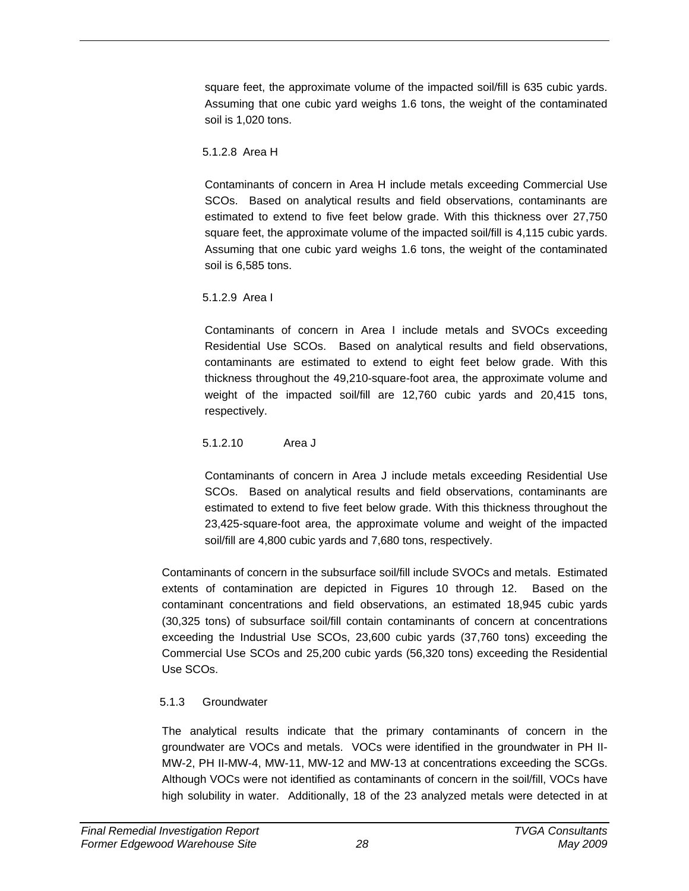square feet, the approximate volume of the impacted soil/fill is 635 cubic yards. Assuming that one cubic yard weighs 1.6 tons, the weight of the contaminated soil is 1,020 tons.

## 5.1.2.8 Area H

Contaminants of concern in Area H include metals exceeding Commercial Use SCOs. Based on analytical results and field observations, contaminants are estimated to extend to five feet below grade. With this thickness over 27,750 square feet, the approximate volume of the impacted soil/fill is 4,115 cubic yards. Assuming that one cubic yard weighs 1.6 tons, the weight of the contaminated soil is 6,585 tons.

5.1.2.9 Area I

Contaminants of concern in Area I include metals and SVOCs exceeding Residential Use SCOs. Based on analytical results and field observations, contaminants are estimated to extend to eight feet below grade. With this thickness throughout the 49,210-square-foot area, the approximate volume and weight of the impacted soil/fill are 12,760 cubic yards and 20,415 tons, respectively.

5.1.2.10 Area J

Contaminants of concern in Area J include metals exceeding Residential Use SCOs. Based on analytical results and field observations, contaminants are estimated to extend to five feet below grade. With this thickness throughout the 23,425-square-foot area, the approximate volume and weight of the impacted soil/fill are 4,800 cubic yards and 7,680 tons, respectively.

Contaminants of concern in the subsurface soil/fill include SVOCs and metals. Estimated extents of contamination are depicted in Figures 10 through 12. Based on the contaminant concentrations and field observations, an estimated 18,945 cubic yards (30,325 tons) of subsurface soil/fill contain contaminants of concern at concentrations exceeding the Industrial Use SCOs, 23,600 cubic yards (37,760 tons) exceeding the Commercial Use SCOs and 25,200 cubic yards (56,320 tons) exceeding the Residential Use SCOs.

# 5.1.3 Groundwater

The analytical results indicate that the primary contaminants of concern in the groundwater are VOCs and metals. VOCs were identified in the groundwater in PH II-MW-2, PH II-MW-4, MW-11, MW-12 and MW-13 at concentrations exceeding the SCGs. Although VOCs were not identified as contaminants of concern in the soil/fill, VOCs have high solubility in water. Additionally, 18 of the 23 analyzed metals were detected in at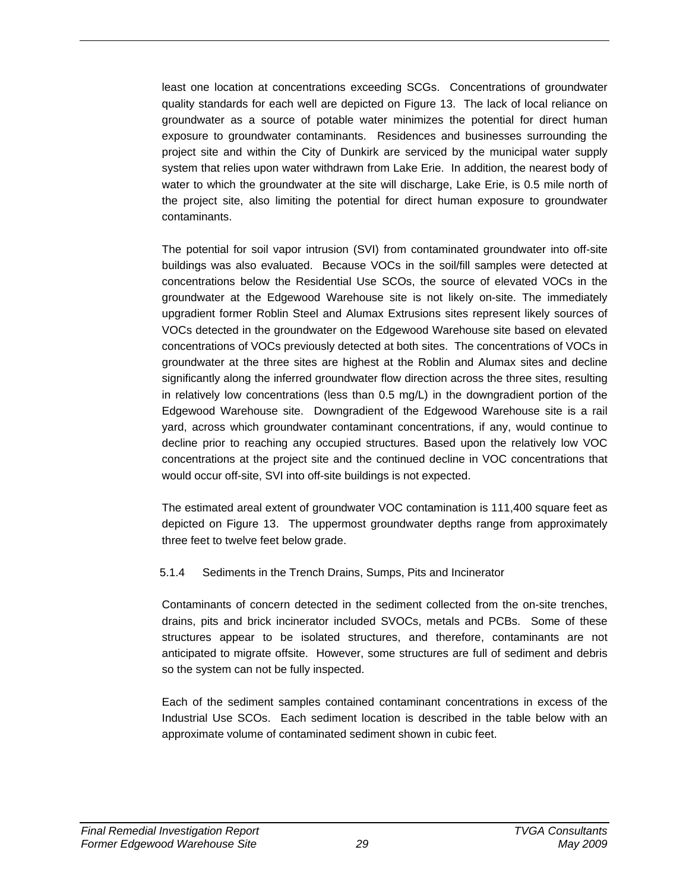least one location at concentrations exceeding SCGs. Concentrations of groundwater quality standards for each well are depicted on Figure 13. The lack of local reliance on groundwater as a source of potable water minimizes the potential for direct human exposure to groundwater contaminants. Residences and businesses surrounding the project site and within the City of Dunkirk are serviced by the municipal water supply system that relies upon water withdrawn from Lake Erie. In addition, the nearest body of water to which the groundwater at the site will discharge, Lake Erie, is 0.5 mile north of the project site, also limiting the potential for direct human exposure to groundwater contaminants.

The potential for soil vapor intrusion (SVI) from contaminated groundwater into off-site buildings was also evaluated. Because VOCs in the soil/fill samples were detected at concentrations below the Residential Use SCOs, the source of elevated VOCs in the groundwater at the Edgewood Warehouse site is not likely on-site. The immediately upgradient former Roblin Steel and Alumax Extrusions sites represent likely sources of VOCs detected in the groundwater on the Edgewood Warehouse site based on elevated concentrations of VOCs previously detected at both sites. The concentrations of VOCs in groundwater at the three sites are highest at the Roblin and Alumax sites and decline significantly along the inferred groundwater flow direction across the three sites, resulting in relatively low concentrations (less than 0.5 mg/L) in the downgradient portion of the Edgewood Warehouse site. Downgradient of the Edgewood Warehouse site is a rail yard, across which groundwater contaminant concentrations, if any, would continue to decline prior to reaching any occupied structures. Based upon the relatively low VOC concentrations at the project site and the continued decline in VOC concentrations that would occur off-site, SVI into off-site buildings is not expected.

The estimated areal extent of groundwater VOC contamination is 111,400 square feet as depicted on Figure 13. The uppermost groundwater depths range from approximately three feet to twelve feet below grade.

### 5.1.4 Sediments in the Trench Drains, Sumps, Pits and Incinerator

Contaminants of concern detected in the sediment collected from the on-site trenches, drains, pits and brick incinerator included SVOCs, metals and PCBs. Some of these structures appear to be isolated structures, and therefore, contaminants are not anticipated to migrate offsite. However, some structures are full of sediment and debris so the system can not be fully inspected.

Each of the sediment samples contained contaminant concentrations in excess of the Industrial Use SCOs. Each sediment location is described in the table below with an approximate volume of contaminated sediment shown in cubic feet.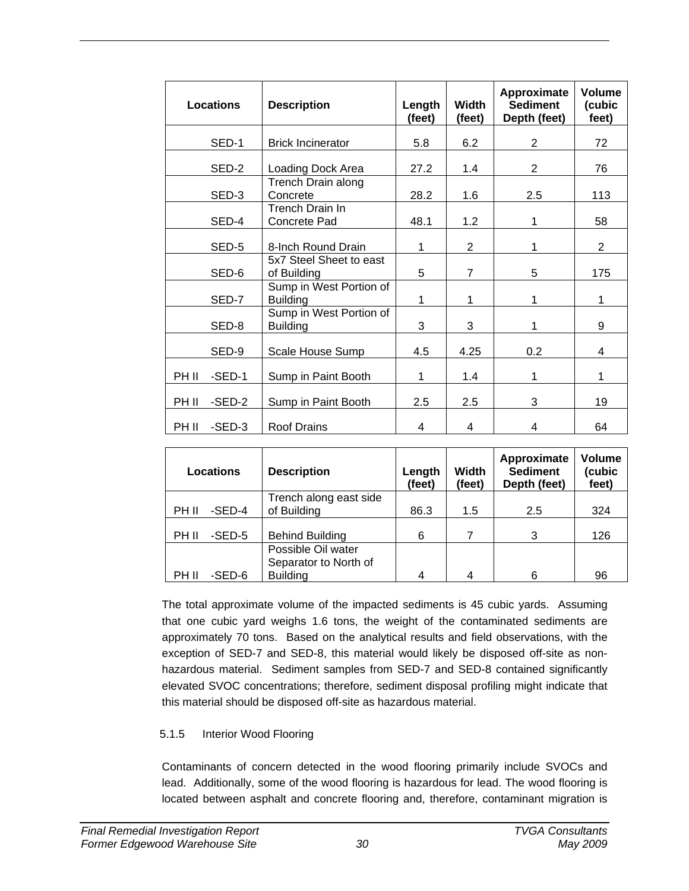|       | <b>Locations</b> | <b>Description</b>                         | Length<br>(feet) | Width<br>(feet) | Approximate<br><b>Sediment</b><br>Depth (feet) | Volume<br>(cubic<br>feet) |
|-------|------------------|--------------------------------------------|------------------|-----------------|------------------------------------------------|---------------------------|
|       | SED-1            | <b>Brick Incinerator</b>                   | 5.8              | 6.2             | 2                                              | 72                        |
|       | SED-2            | Loading Dock Area                          | 27.2             | 1.4             | 2                                              | 76                        |
|       | SED-3            | Trench Drain along<br>Concrete             | 28.2             | 1.6             | 2.5                                            | 113                       |
|       | SED-4            | Trench Drain In<br>Concrete Pad            | 48.1             | 1.2             | 1                                              | 58                        |
|       | SED-5            | 8-Inch Round Drain                         | 1                | $\overline{2}$  | 1                                              | $\overline{2}$            |
|       | SED-6            | 5x7 Steel Sheet to east<br>of Building     | 5                | $\overline{7}$  | 5                                              | 175                       |
|       | SED-7            | Sump in West Portion of<br><b>Building</b> | 1                | 1               | 1                                              | 1                         |
|       | SED-8            | Sump in West Portion of<br><b>Building</b> | 3                | 3               | 1                                              | 9                         |
|       | SED-9            | Scale House Sump                           | 4.5              | 4.25            | 0.2                                            | 4                         |
| PH II | $-$ SED $-1$     | Sump in Paint Booth                        | $\mathbf{1}$     | 1.4             | 1                                              | 1                         |
| PH II | $-$ SED $-2$     | Sump in Paint Booth                        | 2.5              | 2.5             | 3                                              | 19                        |
| PH II | $-$ SED $-3$     | <b>Roof Drains</b>                         | 4                | 4               | 4                                              | 64                        |

| Locations             | <b>Description</b>     | Length<br>(feet) | <b>Width</b><br>(feet) | Approximate<br><b>Sediment</b><br>Depth (feet) | Volume<br>(cubic<br>feet) |
|-----------------------|------------------------|------------------|------------------------|------------------------------------------------|---------------------------|
|                       | Trench along east side |                  |                        |                                                |                           |
| $-$ SED $-4$<br>PH II | of Building            | 86.3             | 1.5                    | 2.5                                            | 324                       |
|                       |                        |                  |                        |                                                |                           |
| -SED-5<br>PH II       | <b>Behind Building</b> | 6                | 7                      | 3                                              | 126                       |
|                       | Possible Oil water     |                  |                        |                                                |                           |
|                       | Separator to North of  |                  |                        |                                                |                           |
| -SED-6<br>PH II       | <b>Building</b>        | 4                | Δ                      | 6                                              | 96                        |

The total approximate volume of the impacted sediments is 45 cubic yards. Assuming that one cubic yard weighs 1.6 tons, the weight of the contaminated sediments are approximately 70 tons. Based on the analytical results and field observations, with the exception of SED-7 and SED-8, this material would likely be disposed off-site as nonhazardous material. Sediment samples from SED-7 and SED-8 contained significantly elevated SVOC concentrations; therefore, sediment disposal profiling might indicate that this material should be disposed off-site as hazardous material.

### 5.1.5 Interior Wood Flooring

Contaminants of concern detected in the wood flooring primarily include SVOCs and lead. Additionally, some of the wood flooring is hazardous for lead. The wood flooring is located between asphalt and concrete flooring and, therefore, contaminant migration is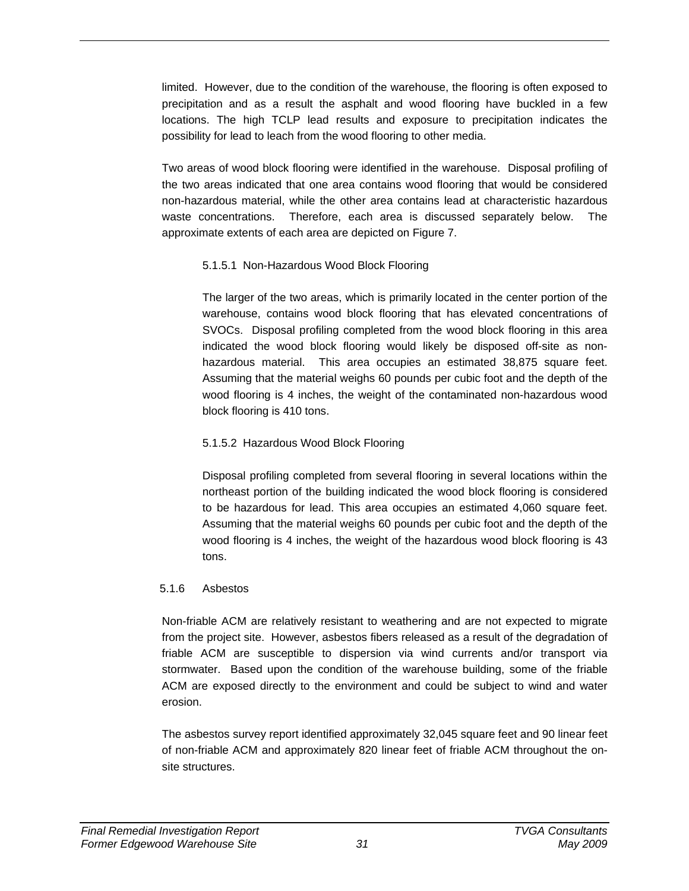limited. However, due to the condition of the warehouse, the flooring is often exposed to precipitation and as a result the asphalt and wood flooring have buckled in a few locations. The high TCLP lead results and exposure to precipitation indicates the possibility for lead to leach from the wood flooring to other media.

Two areas of wood block flooring were identified in the warehouse. Disposal profiling of the two areas indicated that one area contains wood flooring that would be considered non-hazardous material, while the other area contains lead at characteristic hazardous waste concentrations. Therefore, each area is discussed separately below. The approximate extents of each area are depicted on Figure 7.

### 5.1.5.1 Non-Hazardous Wood Block Flooring

The larger of the two areas, which is primarily located in the center portion of the warehouse, contains wood block flooring that has elevated concentrations of SVOCs. Disposal profiling completed from the wood block flooring in this area indicated the wood block flooring would likely be disposed off-site as nonhazardous material. This area occupies an estimated 38,875 square feet. Assuming that the material weighs 60 pounds per cubic foot and the depth of the wood flooring is 4 inches, the weight of the contaminated non-hazardous wood block flooring is 410 tons.

## 5.1.5.2 Hazardous Wood Block Flooring

Disposal profiling completed from several flooring in several locations within the northeast portion of the building indicated the wood block flooring is considered to be hazardous for lead. This area occupies an estimated 4,060 square feet. Assuming that the material weighs 60 pounds per cubic foot and the depth of the wood flooring is 4 inches, the weight of the hazardous wood block flooring is 43 tons.

## 5.1.6 Asbestos

Non-friable ACM are relatively resistant to weathering and are not expected to migrate from the project site. However, asbestos fibers released as a result of the degradation of friable ACM are susceptible to dispersion via wind currents and/or transport via stormwater. Based upon the condition of the warehouse building, some of the friable ACM are exposed directly to the environment and could be subject to wind and water erosion.

The asbestos survey report identified approximately 32,045 square feet and 90 linear feet of non-friable ACM and approximately 820 linear feet of friable ACM throughout the onsite structures.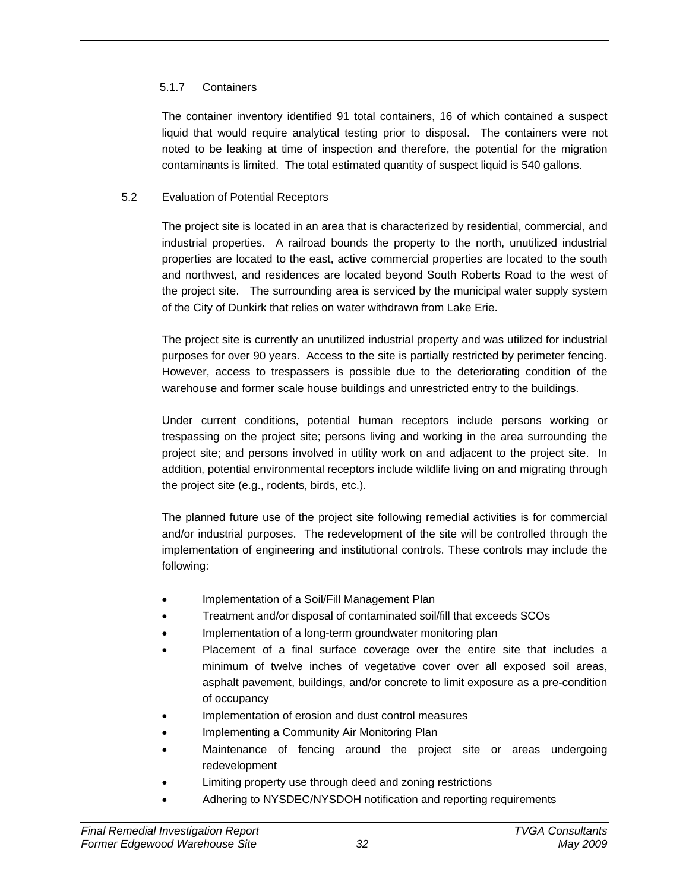## 5.1.7 Containers

The container inventory identified 91 total containers, 16 of which contained a suspect liquid that would require analytical testing prior to disposal. The containers were not noted to be leaking at time of inspection and therefore, the potential for the migration contaminants is limited. The total estimated quantity of suspect liquid is 540 gallons.

### 5.2 Evaluation of Potential Receptors

The project site is located in an area that is characterized by residential, commercial, and industrial properties. A railroad bounds the property to the north, unutilized industrial properties are located to the east, active commercial properties are located to the south and northwest, and residences are located beyond South Roberts Road to the west of the project site. The surrounding area is serviced by the municipal water supply system of the City of Dunkirk that relies on water withdrawn from Lake Erie.

The project site is currently an unutilized industrial property and was utilized for industrial purposes for over 90 years. Access to the site is partially restricted by perimeter fencing. However, access to trespassers is possible due to the deteriorating condition of the warehouse and former scale house buildings and unrestricted entry to the buildings.

Under current conditions, potential human receptors include persons working or trespassing on the project site; persons living and working in the area surrounding the project site; and persons involved in utility work on and adjacent to the project site. In addition, potential environmental receptors include wildlife living on and migrating through the project site (e.g., rodents, birds, etc.).

The planned future use of the project site following remedial activities is for commercial and/or industrial purposes. The redevelopment of the site will be controlled through the implementation of engineering and institutional controls. These controls may include the following:

- Implementation of a Soil/Fill Management Plan
- Treatment and/or disposal of contaminated soil/fill that exceeds SCOs
- Implementation of a long-term groundwater monitoring plan
- Placement of a final surface coverage over the entire site that includes a minimum of twelve inches of vegetative cover over all exposed soil areas, asphalt pavement, buildings, and/or concrete to limit exposure as a pre-condition of occupancy
- Implementation of erosion and dust control measures
- Implementing a Community Air Monitoring Plan
- Maintenance of fencing around the project site or areas undergoing redevelopment
- Limiting property use through deed and zoning restrictions
- Adhering to NYSDEC/NYSDOH notification and reporting requirements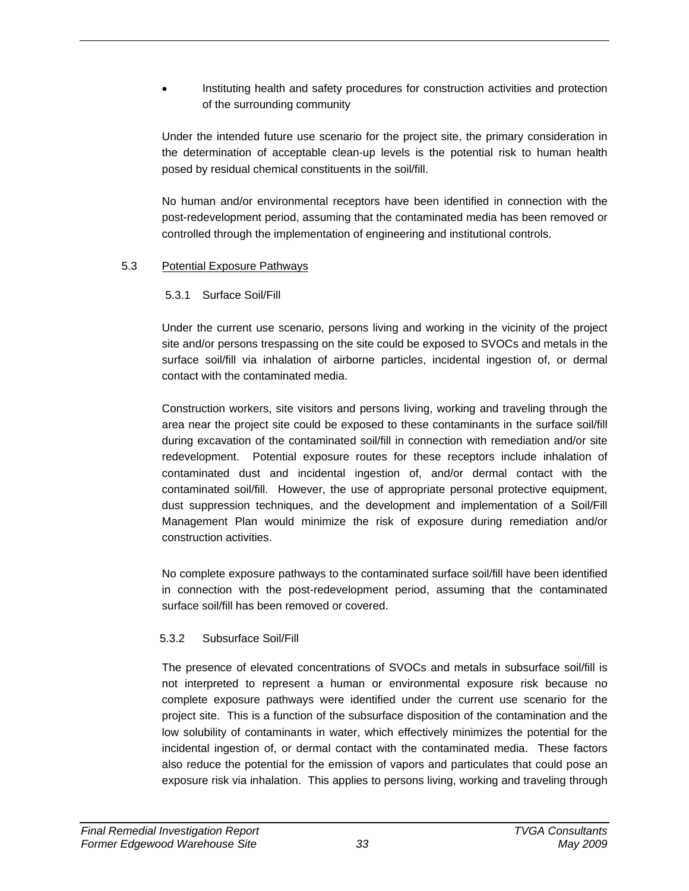• Instituting health and safety procedures for construction activities and protection of the surrounding community

Under the intended future use scenario for the project site, the primary consideration in the determination of acceptable clean-up levels is the potential risk to human health posed by residual chemical constituents in the soil/fill.

No human and/or environmental receptors have been identified in connection with the post-redevelopment period, assuming that the contaminated media has been removed or controlled through the implementation of engineering and institutional controls.

### 5.3 Potential Exposure Pathways

### 5.3.1 Surface Soil/Fill

Under the current use scenario, persons living and working in the vicinity of the project site and/or persons trespassing on the site could be exposed to SVOCs and metals in the surface soil/fill via inhalation of airborne particles, incidental ingestion of, or dermal contact with the contaminated media.

Construction workers, site visitors and persons living, working and traveling through the area near the project site could be exposed to these contaminants in the surface soil/fill during excavation of the contaminated soil/fill in connection with remediation and/or site redevelopment. Potential exposure routes for these receptors include inhalation of contaminated dust and incidental ingestion of, and/or dermal contact with the contaminated soil/fill. However, the use of appropriate personal protective equipment, dust suppression techniques, and the development and implementation of a Soil/Fill Management Plan would minimize the risk of exposure during remediation and/or construction activities.

No complete exposure pathways to the contaminated surface soil/fill have been identified in connection with the post-redevelopment period, assuming that the contaminated surface soil/fill has been removed or covered.

## 5.3.2 Subsurface Soil/Fill

The presence of elevated concentrations of SVOCs and metals in subsurface soil/fill is not interpreted to represent a human or environmental exposure risk because no complete exposure pathways were identified under the current use scenario for the project site. This is a function of the subsurface disposition of the contamination and the low solubility of contaminants in water, which effectively minimizes the potential for the incidental ingestion of, or dermal contact with the contaminated media. These factors also reduce the potential for the emission of vapors and particulates that could pose an exposure risk via inhalation. This applies to persons living, working and traveling through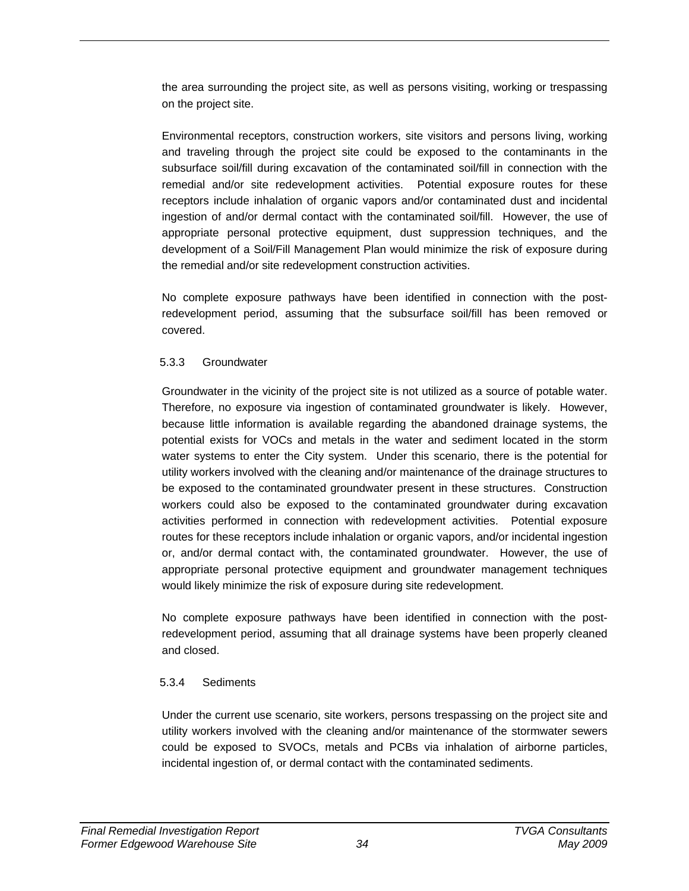the area surrounding the project site, as well as persons visiting, working or trespassing on the project site.

Environmental receptors, construction workers, site visitors and persons living, working and traveling through the project site could be exposed to the contaminants in the subsurface soil/fill during excavation of the contaminated soil/fill in connection with the remedial and/or site redevelopment activities. Potential exposure routes for these receptors include inhalation of organic vapors and/or contaminated dust and incidental ingestion of and/or dermal contact with the contaminated soil/fill. However, the use of appropriate personal protective equipment, dust suppression techniques, and the development of a Soil/Fill Management Plan would minimize the risk of exposure during the remedial and/or site redevelopment construction activities.

No complete exposure pathways have been identified in connection with the postredevelopment period, assuming that the subsurface soil/fill has been removed or covered.

### 5.3.3 Groundwater

Groundwater in the vicinity of the project site is not utilized as a source of potable water. Therefore, no exposure via ingestion of contaminated groundwater is likely. However, because little information is available regarding the abandoned drainage systems, the potential exists for VOCs and metals in the water and sediment located in the storm water systems to enter the City system. Under this scenario, there is the potential for utility workers involved with the cleaning and/or maintenance of the drainage structures to be exposed to the contaminated groundwater present in these structures. Construction workers could also be exposed to the contaminated groundwater during excavation activities performed in connection with redevelopment activities. Potential exposure routes for these receptors include inhalation or organic vapors, and/or incidental ingestion or, and/or dermal contact with, the contaminated groundwater. However, the use of appropriate personal protective equipment and groundwater management techniques would likely minimize the risk of exposure during site redevelopment.

No complete exposure pathways have been identified in connection with the postredevelopment period, assuming that all drainage systems have been properly cleaned and closed.

## 5.3.4 Sediments

Under the current use scenario, site workers, persons trespassing on the project site and utility workers involved with the cleaning and/or maintenance of the stormwater sewers could be exposed to SVOCs, metals and PCBs via inhalation of airborne particles, incidental ingestion of, or dermal contact with the contaminated sediments.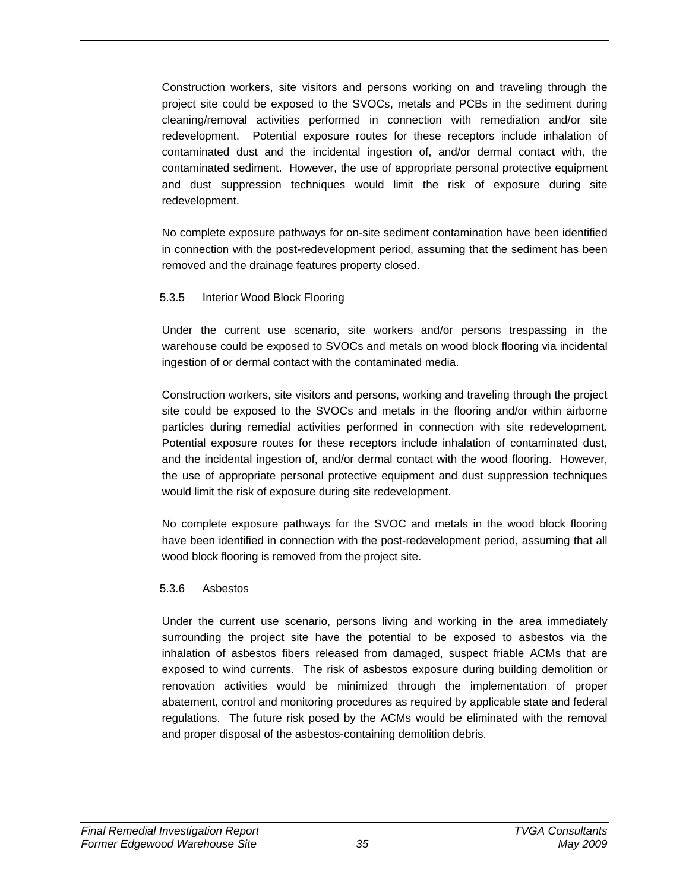Construction workers, site visitors and persons working on and traveling through the project site could be exposed to the SVOCs, metals and PCBs in the sediment during cleaning/removal activities performed in connection with remediation and/or site redevelopment. Potential exposure routes for these receptors include inhalation of contaminated dust and the incidental ingestion of, and/or dermal contact with, the contaminated sediment. However, the use of appropriate personal protective equipment and dust suppression techniques would limit the risk of exposure during site redevelopment.

No complete exposure pathways for on-site sediment contamination have been identified in connection with the post-redevelopment period, assuming that the sediment has been removed and the drainage features property closed.

#### 5.3.5 Interior Wood Block Flooring

Under the current use scenario, site workers and/or persons trespassing in the warehouse could be exposed to SVOCs and metals on wood block flooring via incidental ingestion of or dermal contact with the contaminated media.

Construction workers, site visitors and persons, working and traveling through the project site could be exposed to the SVOCs and metals in the flooring and/or within airborne particles during remedial activities performed in connection with site redevelopment. Potential exposure routes for these receptors include inhalation of contaminated dust, and the incidental ingestion of, and/or dermal contact with the wood flooring. However, the use of appropriate personal protective equipment and dust suppression techniques would limit the risk of exposure during site redevelopment.

No complete exposure pathways for the SVOC and metals in the wood block flooring have been identified in connection with the post-redevelopment period, assuming that all wood block flooring is removed from the project site.

### 5.3.6 Asbestos

Under the current use scenario, persons living and working in the area immediately surrounding the project site have the potential to be exposed to asbestos via the inhalation of asbestos fibers released from damaged, suspect friable ACMs that are exposed to wind currents. The risk of asbestos exposure during building demolition or renovation activities would be minimized through the implementation of proper abatement, control and monitoring procedures as required by applicable state and federal regulations. The future risk posed by the ACMs would be eliminated with the removal and proper disposal of the asbestos-containing demolition debris.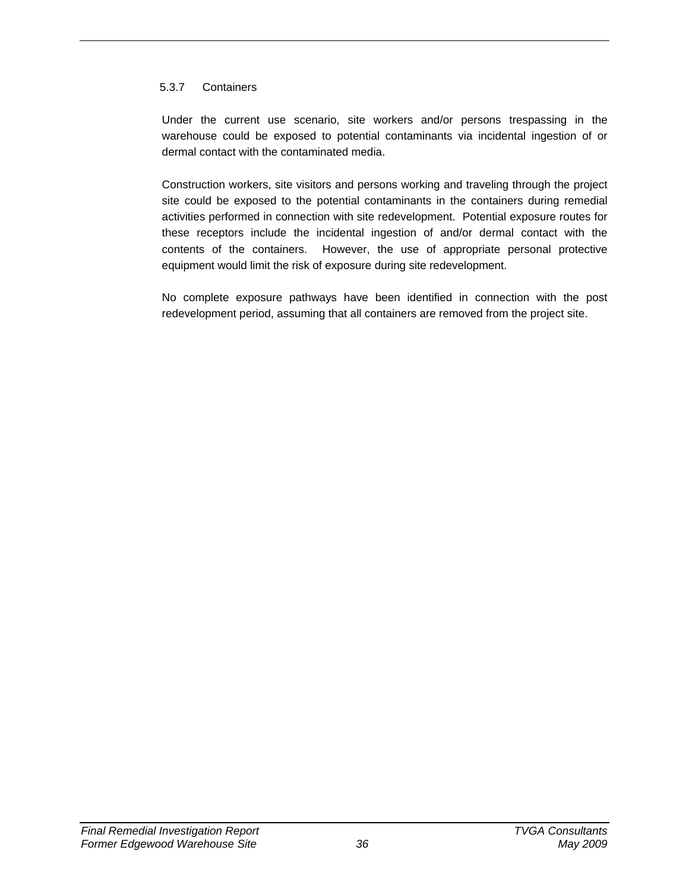### 5.3.7 Containers

Under the current use scenario, site workers and/or persons trespassing in the warehouse could be exposed to potential contaminants via incidental ingestion of or dermal contact with the contaminated media.

Construction workers, site visitors and persons working and traveling through the project site could be exposed to the potential contaminants in the containers during remedial activities performed in connection with site redevelopment. Potential exposure routes for these receptors include the incidental ingestion of and/or dermal contact with the contents of the containers. However, the use of appropriate personal protective equipment would limit the risk of exposure during site redevelopment.

No complete exposure pathways have been identified in connection with the post redevelopment period, assuming that all containers are removed from the project site.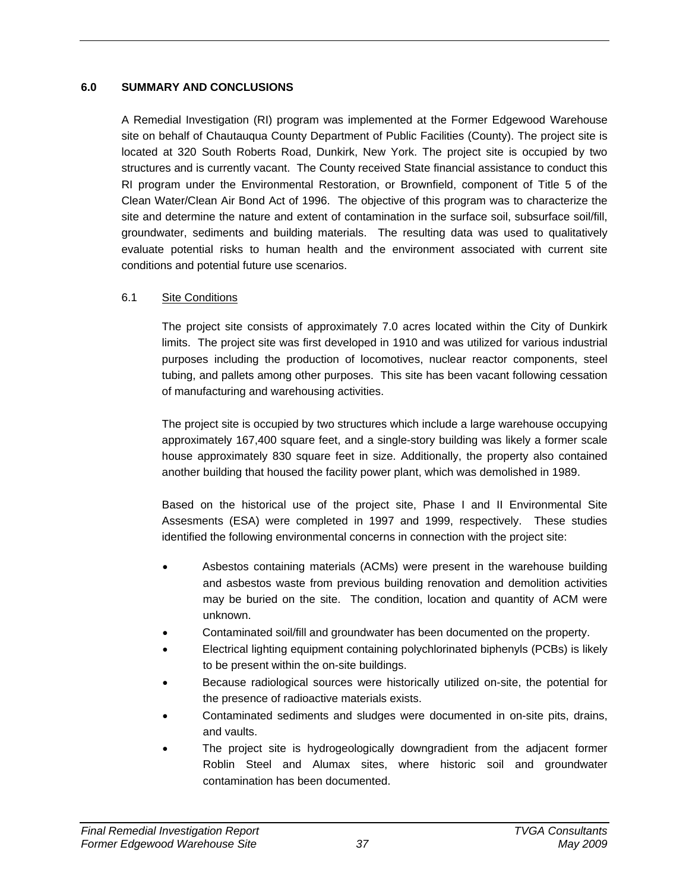### **6.0 SUMMARY AND CONCLUSIONS**

A Remedial Investigation (RI) program was implemented at the Former Edgewood Warehouse site on behalf of Chautauqua County Department of Public Facilities (County). The project site is located at 320 South Roberts Road, Dunkirk, New York. The project site is occupied by two structures and is currently vacant. The County received State financial assistance to conduct this RI program under the Environmental Restoration, or Brownfield, component of Title 5 of the Clean Water/Clean Air Bond Act of 1996. The objective of this program was to characterize the site and determine the nature and extent of contamination in the surface soil, subsurface soil/fill, groundwater, sediments and building materials. The resulting data was used to qualitatively evaluate potential risks to human health and the environment associated with current site conditions and potential future use scenarios.

### 6.1 Site Conditions

The project site consists of approximately 7.0 acres located within the City of Dunkirk limits. The project site was first developed in 1910 and was utilized for various industrial purposes including the production of locomotives, nuclear reactor components, steel tubing, and pallets among other purposes. This site has been vacant following cessation of manufacturing and warehousing activities.

The project site is occupied by two structures which include a large warehouse occupying approximately 167,400 square feet, and a single-story building was likely a former scale house approximately 830 square feet in size. Additionally, the property also contained another building that housed the facility power plant, which was demolished in 1989.

Based on the historical use of the project site, Phase I and II Environmental Site Assesments (ESA) were completed in 1997 and 1999, respectively. These studies identified the following environmental concerns in connection with the project site:

- Asbestos containing materials (ACMs) were present in the warehouse building and asbestos waste from previous building renovation and demolition activities may be buried on the site. The condition, location and quantity of ACM were unknown.
- Contaminated soil/fill and groundwater has been documented on the property.
- Electrical lighting equipment containing polychlorinated biphenyls (PCBs) is likely to be present within the on-site buildings.
- Because radiological sources were historically utilized on-site, the potential for the presence of radioactive materials exists.
- Contaminated sediments and sludges were documented in on-site pits, drains, and vaults.
- The project site is hydrogeologically downgradient from the adjacent former Roblin Steel and Alumax sites, where historic soil and groundwater contamination has been documented.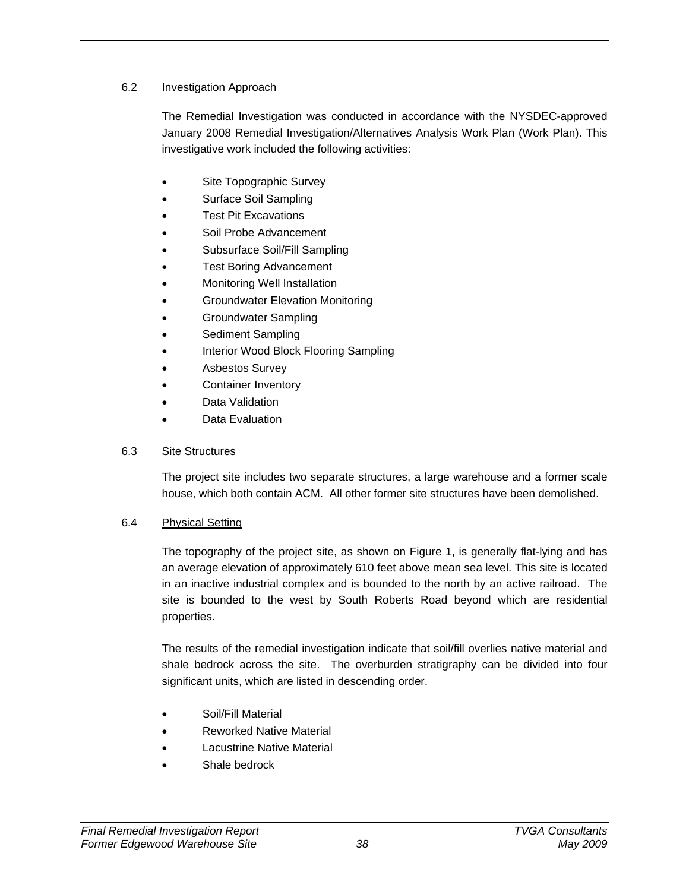### 6.2 Investigation Approach

The Remedial Investigation was conducted in accordance with the NYSDEC-approved January 2008 Remedial Investigation/Alternatives Analysis Work Plan (Work Plan). This investigative work included the following activities:

- Site Topographic Survey
- Surface Soil Sampling
- Test Pit Excavations
- Soil Probe Advancement
- Subsurface Soil/Fill Sampling
- **Test Boring Advancement**
- Monitoring Well Installation
- Groundwater Elevation Monitoring
- Groundwater Sampling
- Sediment Sampling
- Interior Wood Block Flooring Sampling
- Asbestos Survey
- Container Inventory
- Data Validation
- Data Evaluation

## 6.3 Site Structures

The project site includes two separate structures, a large warehouse and a former scale house, which both contain ACM. All other former site structures have been demolished.

### 6.4 Physical Setting

The topography of the project site, as shown on Figure 1, is generally flat-lying and has an average elevation of approximately 610 feet above mean sea level. This site is located in an inactive industrial complex and is bounded to the north by an active railroad. The site is bounded to the west by South Roberts Road beyond which are residential properties.

The results of the remedial investigation indicate that soil/fill overlies native material and shale bedrock across the site. The overburden stratigraphy can be divided into four significant units, which are listed in descending order.

- Soil/Fill Material
- Reworked Native Material
- **Lacustrine Native Material**
- Shale bedrock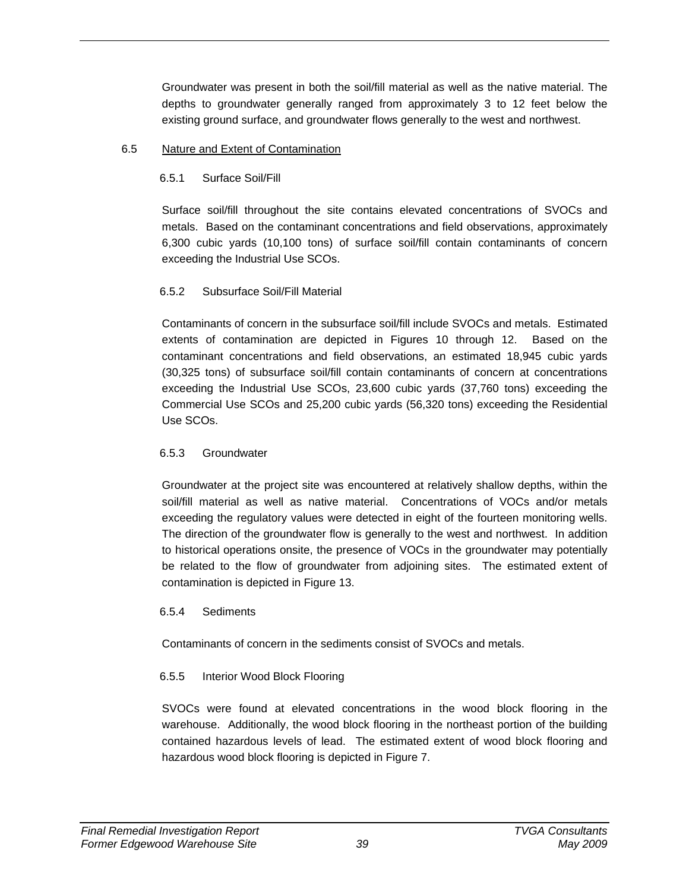Groundwater was present in both the soil/fill material as well as the native material. The depths to groundwater generally ranged from approximately 3 to 12 feet below the existing ground surface, and groundwater flows generally to the west and northwest.

### 6.5 Nature and Extent of Contamination

## 6.5.1 Surface Soil/Fill

Surface soil/fill throughout the site contains elevated concentrations of SVOCs and metals. Based on the contaminant concentrations and field observations, approximately 6,300 cubic yards (10,100 tons) of surface soil/fill contain contaminants of concern exceeding the Industrial Use SCOs.

## 6.5.2 Subsurface Soil/Fill Material

Contaminants of concern in the subsurface soil/fill include SVOCs and metals. Estimated extents of contamination are depicted in Figures 10 through 12. Based on the contaminant concentrations and field observations, an estimated 18,945 cubic yards (30,325 tons) of subsurface soil/fill contain contaminants of concern at concentrations exceeding the Industrial Use SCOs, 23,600 cubic yards (37,760 tons) exceeding the Commercial Use SCOs and 25,200 cubic yards (56,320 tons) exceeding the Residential Use SCOs.

## 6.5.3 Groundwater

Groundwater at the project site was encountered at relatively shallow depths, within the soil/fill material as well as native material. Concentrations of VOCs and/or metals exceeding the regulatory values were detected in eight of the fourteen monitoring wells. The direction of the groundwater flow is generally to the west and northwest. In addition to historical operations onsite, the presence of VOCs in the groundwater may potentially be related to the flow of groundwater from adjoining sites. The estimated extent of contamination is depicted in Figure 13.

### 6.5.4 Sediments

Contaminants of concern in the sediments consist of SVOCs and metals.

## 6.5.5 Interior Wood Block Flooring

SVOCs were found at elevated concentrations in the wood block flooring in the warehouse. Additionally, the wood block flooring in the northeast portion of the building contained hazardous levels of lead. The estimated extent of wood block flooring and hazardous wood block flooring is depicted in Figure 7.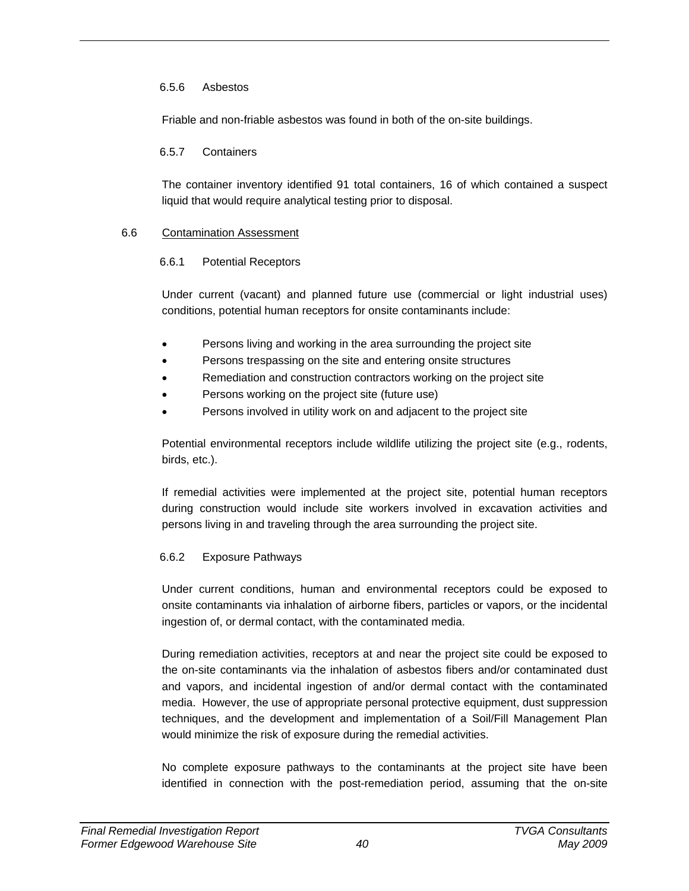### 6.5.6 Asbestos

Friable and non-friable asbestos was found in both of the on-site buildings.

### 6.5.7 Containers

The container inventory identified 91 total containers, 16 of which contained a suspect liquid that would require analytical testing prior to disposal.

### 6.6 Contamination Assessment

### 6.6.1 Potential Receptors

Under current (vacant) and planned future use (commercial or light industrial uses) conditions, potential human receptors for onsite contaminants include:

- Persons living and working in the area surrounding the project site
- Persons trespassing on the site and entering onsite structures
- Remediation and construction contractors working on the project site
- Persons working on the project site (future use)
- Persons involved in utility work on and adjacent to the project site

Potential environmental receptors include wildlife utilizing the project site (e.g., rodents, birds, etc.).

If remedial activities were implemented at the project site, potential human receptors during construction would include site workers involved in excavation activities and persons living in and traveling through the area surrounding the project site.

### 6.6.2 Exposure Pathways

Under current conditions, human and environmental receptors could be exposed to onsite contaminants via inhalation of airborne fibers, particles or vapors, or the incidental ingestion of, or dermal contact, with the contaminated media.

During remediation activities, receptors at and near the project site could be exposed to the on-site contaminants via the inhalation of asbestos fibers and/or contaminated dust and vapors, and incidental ingestion of and/or dermal contact with the contaminated media. However, the use of appropriate personal protective equipment, dust suppression techniques, and the development and implementation of a Soil/Fill Management Plan would minimize the risk of exposure during the remedial activities.

No complete exposure pathways to the contaminants at the project site have been identified in connection with the post-remediation period, assuming that the on-site